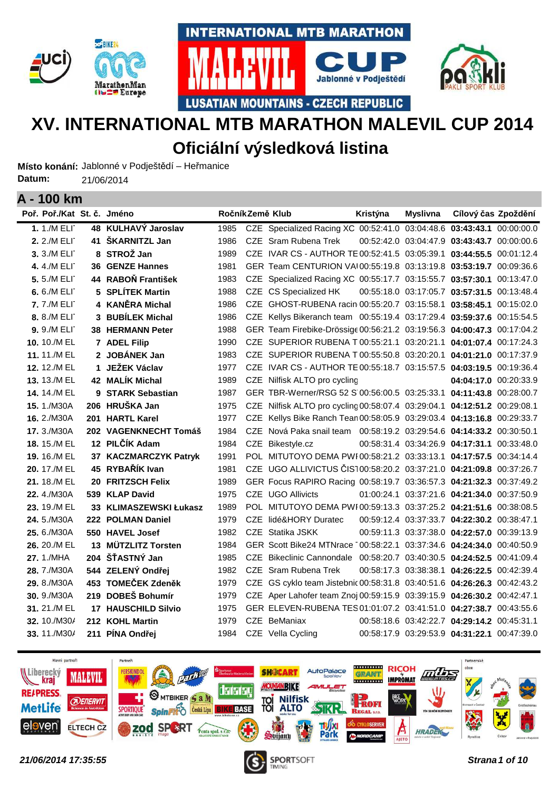



**LUSATIAN MOUNTAINS - CZECH REPUBLIC** 



# **XV. INTERNATIONAL MTB MARATHON MALEVIL CUP 2014 Oficiální výsledková listina**

Místo konání: Jablonné v Podještědí – Heřmanice 21/06/2014 **Datum:**

| I VV NIII                  |    |                            |      |                                                                          |          |                 |                                             |  |
|----------------------------|----|----------------------------|------|--------------------------------------------------------------------------|----------|-----------------|---------------------------------------------|--|
| Poř. Poř./Kat St. č. Jméno |    |                            |      | RočníkZemě Klub                                                          | Kristýna | <b>Myslivna</b> | Cílový čas Zpoždění                         |  |
| 1.1./M ELI                 |    | 48 KULHAVÝ Jaroslav        | 1985 | CZE Specialized Racing XC 00:52:41.0 03:04:48.6 03:43:43.1 00:00:00.0    |          |                 |                                             |  |
| 2. 2./M ELI                | 41 | ŠKARNITZL Jan              | 1986 | CZE Sram Rubena Trek                                                     |          |                 | 00:52:42.0 03:04:47.9 03:43:43.7 00:00:00.6 |  |
| 3. 3./M ELI                |    | 8 STROŽ Jan                | 1989 | CZE IVAR CS - AUTHOR TE 00:52:41.5 03:05:39.1 03:44:55.5 00:01:12.4      |          |                 |                                             |  |
| 4.4./M ELI                 |    | <b>36 GENZE Hannes</b>     | 1981 | GER Team CENTURION VAI00:55:19.8 03:13:19.8 03:53:19.7 00:09:36.6        |          |                 |                                             |  |
| 5.5./M ELI                 |    | 44 RABOŇ František         | 1983 | CZE Specialized Racing XC 00:55:17.7 03:15:55.7 03:57:30.1 00:13:47.0    |          |                 |                                             |  |
| 6.6./M ELI                 |    | 5 SPLÍTEK Martin           | 1988 | CZE CS Specialized HK                                                    |          |                 | 00:55:18.0 03:17:05.7 03:57:31.5 00:13:48.4 |  |
| 7.7./M ELI                 |    | 4 KANĚRA Michal            | 1986 | CZE GHOST-RUBENA racin 00:55:20.7 03:15:58.1 03:58:45.1 00:15:02.0       |          |                 |                                             |  |
| 8. 8./M ELI                |    | 3 BUBÍLEK Michal           | 1986 | CZE Kellys Bikeranch team 00:55:19.4 03:17:29.4 03:59:37.6 00:15:54.5    |          |                 |                                             |  |
| <b>9.</b> 9./M ELI         |    | <b>38 HERMANN Peter</b>    | 1988 | GER Team Firebike-Drössige 00:56:21.2 03:19:56.3 04:00:47.3 00:17:04.2   |          |                 |                                             |  |
| 10. 10./M EL               |    | 7 ADEL Filip               | 1990 | CZE SUPERIOR RUBENA T 00:55:21.1 03:20:21.1 04:01:07.4 00:17:24.3        |          |                 |                                             |  |
| 11.11./M EL                |    | 2 JOBÁNEK Jan              | 1983 | CZE SUPERIOR RUBENA T 00:55:50.8 03:20:20.1 04:01:21.0 00:17:37.9        |          |                 |                                             |  |
| 12. 12./M EL               | 1. | JEŽEK Václav               | 1977 | CZE IVAR CS - AUTHOR TE 00:55:18.7 03:15:57.5 04:03:19.5 00:19:36.4      |          |                 |                                             |  |
| 13. 13./M EL               |    | 42 MALÍK Michal            | 1989 | CZE Nilfisk ALTO pro cycling                                             |          |                 | 04:04:17.0 00:20:33.9                       |  |
| 14.14./M EL                |    | 9 STARK Sebastian          | 1987 | GER TBR-Werner/RSG 52 S 00:56:00.5 03:25:33.1 04:11:43.8 00:28:00.7      |          |                 |                                             |  |
| <b>15.</b> 1./M30A         |    | 206 HRUŠKA Jan             | 1975 | CZE Nilfisk ALTO pro cycling 00:58:07.4 03:29:04.1 04:12:51.2 00:29:08.1 |          |                 |                                             |  |
| 16. 2./M30A                |    | 201 HARTL Karel            | 1977 | CZE Kellys Bike Ranch Tean 00:58:05.9 03:29:03.4 04:13:16.8 00:29:33.7   |          |                 |                                             |  |
| 17.3./M30A                 |    | 202 VAGENKNECHT Tomáš      | 1984 | CZE Nová Paka snail team 00:58:19.2 03:29:54.6 04:14:33.2 00:30:50.1     |          |                 |                                             |  |
| <b>18.</b> 15./M EL        |    | 12 PILČÍK Adam             | 1984 | CZE Bikestyle.cz                                                         |          |                 | 00:58:31.4 03:34:26.9 04:17:31.1 00:33:48.0 |  |
| 19. 16./M EL               |    | 37 KACZMARCZYK Patryk      | 1991 | POL MITUTOYO DEMA PWI00:58:21.2 03:33:13.1 04:17:57.5 00:34:14.4         |          |                 |                                             |  |
| 20. 17./M EL               |    | 45 RYBAŘÍK Ivan            | 1981 | CZE UGO ALLIVICTUS ČIS100:58:20.2 03:37:21.0 04:21:09.8 00:37:26.7       |          |                 |                                             |  |
| 21. 18./M EL               |    | 20 FRITZSCH Felix          | 1989 | GER Focus RAPIRO Racing 00:58:19.7 03:36:57.3 04:21:32.3 00:37:49.2      |          |                 |                                             |  |
| 22.4./M30A                 |    | 539 KLAP David             | 1975 | <b>CZE UGO Allivicts</b>                                                 |          |                 | 01:00:24.1 03:37:21.6 04:21:34.0 00:37:50.9 |  |
| 23. 19./M EL               |    | 33 KLIMASZEWSKI Łukasz     | 1989 | POL MITUTOYO DEMA PWI00:59:13.3 03:37:25.2 04:21:51.6 00:38:08.5         |          |                 |                                             |  |
| 24.5./M30A                 |    | 222 POLMAN Daniel          | 1979 | CZE lidé&HORY Duratec                                                    |          |                 | 00:59:12.4 03:37:33.7 04:22:30.2 00:38:47.1 |  |
| 25.6./M30A                 |    | 550 HAVEL Josef            | 1982 | CZE Statika JSKK                                                         |          |                 | 00:59:11.3 03:37:38.0 04:22:57.0 00:39:13.9 |  |
| 26, 20./M EL               |    | 13 MÜTZLITZ Torsten        | 1984 | GER Scott Bike24 MTNrace 00:58:22.1 03:37:34.6 04:24:34.0 00:40:50.9     |          |                 |                                             |  |
| 27. 1./MHA                 |    | 204 ŠŤASTNÝ Jan            | 1985 | CZE Bikeclinic Cannondale 00:58:20.7 03:40:30.5 04:24:52.5 00:41:09.4    |          |                 |                                             |  |
| 28.7./M30A                 |    | 544 ZELENÝ Ondřej          | 1982 | CZE Sram Rubena Trek                                                     |          |                 | 00:58:17.3 03:38:38.1 04:26:22.5 00:42:39.4 |  |
| 29. 8./M30A                |    | 453 TOMEČEK Zdeněk         | 1979 | CZE GS cyklo team Jistebnic 00:58:31.8 03:40:51.6 04:26:26.3 00:42:43.2  |          |                 |                                             |  |
| 30. 9./M30A                |    | 219 DOBEŠ Bohumír          | 1979 | CZE Aper Lahofer team Znoj 00:59:15.9 03:39:15.9 04:26:30.2 00:42:47.1   |          |                 |                                             |  |
| 31.21./M EL                |    | <b>17 HAUSCHILD Silvio</b> | 1975 | GER ELEVEN-RUBENA TES 01:01:07.2 03:41:51.0 04:27:38.7 00:43:55.6        |          |                 |                                             |  |
| 32. 10./M30/               |    | 212 KOHL Martin            | 1979 | CZE BeManiax                                                             |          |                 | 00:58:18.6 03:42:22.7 04:29:14.2 00:45:31.1 |  |
| 33.11./M30/                |    | 211 PÍNA Ondřej            | 1984 | CZE Vella Cycling                                                        |          |                 | 00:58:17.9 03:29:53.9 04:31:22.1 00:47:39.0 |  |
|                            |    |                            |      |                                                                          |          |                 |                                             |  |



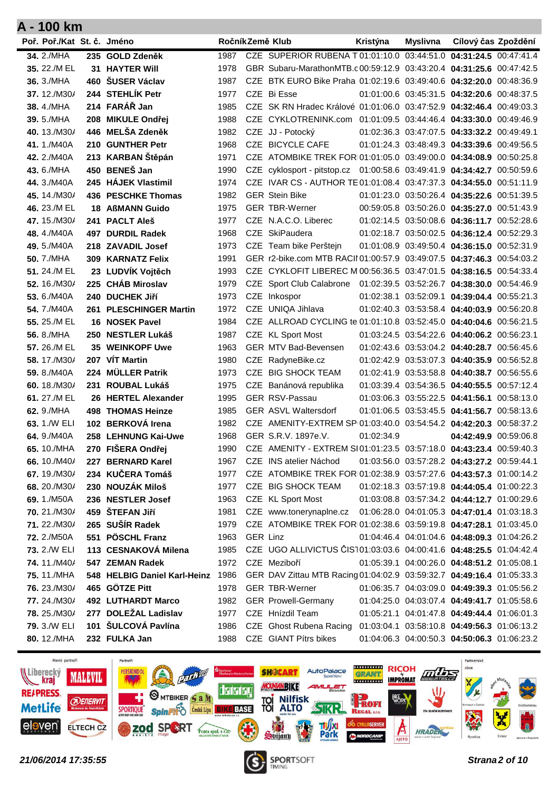| CZE SUPERIOR RUBENA T 01:01:10.0 03:44:51.0 04:31:24.5 00:47:41.4<br>34. 2./MHA<br>235 GOLD Zdeněk<br>1987<br>GBR Subaru-MarathonMTB.c00:59:12.9 03:43:20.4 04:31:25.6 00:47:42.5<br>35. 22./M EL<br><b>31 HAYTER Will</b><br>1978<br>460 ŠUSER Václav<br>CZE BTK EURO Bike Praha 01:02:19.6 03:49:40.6 04:32:20.0 00:48:36.9<br>36. 3./MHA<br>1987<br>244 STEHLÍK Petr<br>37.12./M30/<br>CZE Bi Esse<br>01:01:00.6 03:45:31.5 04:32:20.6 00:48:37.5<br>1977<br>214 FARÁŘ Jan<br>CZE SK RN Hradec Králové 01:01:06.0 03:47:52.9 04:32:46.4 00:49:03.3<br>38.4./MHA<br>1985<br>208 MIKULE Ondřej<br>CZE CYKLOTRENINK.com 01:01:09.5 03:44:46.4 04:33:30.0 00:49:46.9<br>39.5./MHA<br>1988<br>446 MELŠA Zdeněk<br>40, 13./M30/<br>1982<br>CZE JJ - Potocký<br>01:02:36.3 03:47:07.5 04:33:32.2 00:49:49.1<br>210 GUNTHER Petr<br>CZE BICYCLE CAFE<br>41.1./M40A<br>1968<br>01:01:24.3 03:48:49.3 04:33:39.6 00:49:56.5<br>213 KARBAN Štěpán<br>42. 2./M40A<br>1971<br>CZE ATOMBIKE TREK FOR 01:01:05.0 03:49:00.0 04:34:08.9 00:50:25.8<br>450 BENEŠ Jan<br>CZE cyklosport - pitstop.cz 01:00:58.6 03:49:41.9 04:34:42.7 00:50:59.6<br>43. 6./MHA<br>1990<br>245 HÁJEK Vlastimil<br>CZE IVAR CS - AUTHOR TE 01:01:08.4 03:47:37.3 04:34:55.0 00:51:11.9<br>44.3./M40A<br>1974<br><b>GER Stein Bike</b><br>01:01:23.0 03:50:26.4 04:35:22.6 00:51:39.5<br>45.14./M30/<br>436 PESCHKE Thomas<br>1982<br><b>GER TBR-Werner</b><br>00:59:05.8 03:50:26.0 04:35:27.0 00:51:43.9<br>46. 23./M EL<br><b>18 AßMANN Guido</b><br>1975<br>CZE N.A.C.O. Liberec<br>01:02:14.5 03:50:08.6 04:36:11.7 00:52:28.6<br>47.15./M30/<br>241 PACLT Aleš<br>1977<br>CZE SkiPaudera<br>01:02:18.7 03:50:02.5 04:36:12.4 00:52:29.3<br>48.4./M40A<br>497 DURDIL Radek<br>1968<br>CZE Team bike Perštejn<br>49.5./M40A<br>218 ZAVADIL Josef<br>1973<br>01:01:08.9 03:49:50.4 04:36:15.0 00:52:31.9<br>GER r2-bike.com MTB RACII 01:00:57.9 03:49:07.5 04:37:46.3 00:54:03.2<br>50. 7./MHA<br>309 KARNATZ Felix<br>1991<br>CZE CYKLOFIT LIBEREC M 00:56:36.5 03:47:01.5 04:38:16.5 00:54:33.4<br>51. 24./M EL<br>23 LUDVÍK Vojtěch<br>1993<br>225 CHÁB Miroslav<br>CZE Sport Club Calabrone 01:02:39.5 03:52:26.7 04:38:30.0 00:54:46.9<br>52, 16./M30/<br>1979<br>CZE Inkospor<br>01:02:38.1 03:52:09.1 04:39:04.4 00:55:21.3<br>53.6./M40A<br>240 DUCHEK JIří<br>1973<br>CZE UNIQA Jihlava<br><b>54.</b> 7./M40A<br>261 PLESCHINGER Martin<br>1972<br>01:02:40.3 03:53:58.4 04:40:03.9 00:56:20.8<br>CZE ALLROAD CYCLING te 01:01:10.8 03:52:45.0 04:40:04.6 00:56:21.5<br>55, 25./M EL<br><b>16 NOSEK Pavel</b><br>1984<br>CZE KL Sport Most<br>56. 8./MHA<br>250 NESTLER Lukáš<br>1987<br>01:03:24.5 03:54:22.6 04:40:06.2 00:56:23.1<br>01:02:43.6 03:53:04.2 04:40:28.7 00:56:45.6<br>57, 26./M EL<br><b>35 WEINKOPF Uwe</b><br>1963<br><b>GER MTV Bad-Bevensen</b><br>207 VIT Martin<br>58.17./M30/<br>1980<br>CZE RadyneBike.cz<br>01:02:42.9 03:53:07.3 04:40:35.9 00:56:52.8<br>224 MÜLLER Patrik<br>CZE BIG SHOCK TEAM<br>01:02:41.9 03:53:58.8 04:40:38.7 00:56:55.6<br>59. 8./M40A<br>1973<br>01:03:39.4 03:54:36.5 04:40:55.5 00:57:12.4<br>60, $18./M30/$<br>231 ROUBAL Lukáš<br>1975<br>CZE Banánová republika<br>61.27./M EL<br><b>GER RSV-Passau</b><br>26 HERTEL Alexander<br>1995<br>01:03:06.3 03:55:22.5 04:41:56.1 00:58:13.0<br><b>498 THOMAS Heinze</b><br><b>GER ASVL Waltersdorf</b><br>01:01:06.5 03:53:45.5 04:41:56.7 00:58:13.6<br>62. 9./MHA<br>1985<br>102 BERKOVÁ Irena<br>63, 1./W ELI<br>1982<br>CZE AMENITY-EXTREM SP 01:03:40.0 03:54:54.2 04:42:20.3 00:58:37.2<br>GER S.R.V. 1897e.V.<br>01:02:34.9<br>64.9./M40A<br>258 LEHNUNG Kai-Uwe<br>1968<br>04:42:49.9 00:59:06.8<br>270 FIŠERA Ondřej<br>CZE AMENITY - EXTREM SI01:01:23.5 03:57:18.0 04:43:23.4 00:59:40.3<br>65. 10./MHA<br>1990<br>CZE INS atelier Náchod<br>01:03:56.0 03:57:28.2 04:43:27.2 00:59:44.1<br>66.10./M40/<br>227 BERNARD Karel<br>1967<br>234 KUČERA Tomáš<br>CZE ATOMBIKE TREK FOR 01:02:38.9 03:57:27.6 04:43:57.3 01:00:14.2<br>67.19./M30/<br>1977<br>230 NOUZÁK Miloš<br>68. 20./M30/<br>CZE BIG SHOCK TEAM<br>01:02:18.3 03:57:19.8 04:44:05.4 01:00:22.3<br>1977<br>CZE KL Sport Most<br>69.1./M50A<br>236 NESTLER Josef<br>1963<br>01:03:08.8 03:57:34.2 04:44:12.7 01:00:29.6<br>459 ŠTEFAN Jiří<br>70. 21./M30/<br>1981<br>CZE www.tonerynaplne.cz<br>01:06:28.0 04:01:05.3 04:47:01.4 01:03:18.3<br>265 SUŠÍR Radek<br>71.22./M30/<br>1979<br>CZE ATOMBIKE TREK FOR 01:02:38.6 03:59:19.8 04:47:28.1 01:03:45.0<br>551 PÖSCHL Franz<br><b>72.</b> 2./M50A<br>1963<br>GER Linz<br>01:04:46.4 04:01:04.6 04:48:09.3 01:04:26.2<br>113 CESNAKOVÁ Milena<br>CZE UGO ALLIVICTUS ČIST01:03:03.6 04:00:41.6 04:48:25.5 01:04:42.4<br>73. 2./W ELI<br>1985<br>74.11./M40/<br>547 ZEMAN Radek<br>1972<br>CZE Meziboří<br>01:05:39.1 04:00:26.0 04:48:51.2 01:05:08.1<br>548 HELBIG Daniel Karl-Heinz 1986<br>75.11./MHA<br>GER DAV Zittau MTB Racing 01:04:02.9 03:59:32.7 04:49:16.4 01:05:33.3<br>76. 23./M30/<br>465 GÖTZE Pitt<br>1978<br><b>GER TBR-Werner</b><br>01:06:35.7 04:03:09.0 04:49:39.3 01:05:56.2<br>77.24./M30/<br><b>492 LUTHARDT Marco</b><br>1982<br><b>GER Prowell-Germany</b><br>01:04:25.0 04:03:07.4 04:49:41.7 01:05:58.6<br>277 DOLEŽAL Ladislav<br>CZE Hnízdil Team<br>78. 25./M30/<br>1977<br>01:05:21.1 04:01:47.8 04:49:44.4 01:06:01.3<br>101 ŠULCOVÁ Pavlína<br>79. 3./W ELI<br>1986<br>CZE Ghost Rubena Racing<br>01:03:04.1 03:58:10.8 04:49:56.3 01:06:13.2 | Poř. Poř./Kat St. č. Jméno |  |  | RočníkZemě Klub | Kristýna | <b>Myslivna</b> | Cílový čas Zpoždění |  |
|-------------------------------------------------------------------------------------------------------------------------------------------------------------------------------------------------------------------------------------------------------------------------------------------------------------------------------------------------------------------------------------------------------------------------------------------------------------------------------------------------------------------------------------------------------------------------------------------------------------------------------------------------------------------------------------------------------------------------------------------------------------------------------------------------------------------------------------------------------------------------------------------------------------------------------------------------------------------------------------------------------------------------------------------------------------------------------------------------------------------------------------------------------------------------------------------------------------------------------------------------------------------------------------------------------------------------------------------------------------------------------------------------------------------------------------------------------------------------------------------------------------------------------------------------------------------------------------------------------------------------------------------------------------------------------------------------------------------------------------------------------------------------------------------------------------------------------------------------------------------------------------------------------------------------------------------------------------------------------------------------------------------------------------------------------------------------------------------------------------------------------------------------------------------------------------------------------------------------------------------------------------------------------------------------------------------------------------------------------------------------------------------------------------------------------------------------------------------------------------------------------------------------------------------------------------------------------------------------------------------------------------------------------------------------------------------------------------------------------------------------------------------------------------------------------------------------------------------------------------------------------------------------------------------------------------------------------------------------------------------------------------------------------------------------------------------------------------------------------------------------------------------------------------------------------------------------------------------------------------------------------------------------------------------------------------------------------------------------------------------------------------------------------------------------------------------------------------------------------------------------------------------------------------------------------------------------------------------------------------------------------------------------------------------------------------------------------------------------------------------------------------------------------------------------------------------------------------------------------------------------------------------------------------------------------------------------------------------------------------------------------------------------------------------------------------------------------------------------------------------------------------------------------------------------------------------------------------------------------------------------------------------------------------------------------------------------------------------------------------------------------------------------------------------------------------------------------------------------------------------------------------------------------------------------------------------------------------------------------------------------------------------------------------------------------------------------------------------------------------------------------------------------------------------------------------------------------------------------------------------------------------------------------------------------------------------------------------------------------------------------------------------------------------------------------------------------------------------------------------------------------------------------------------------------------------------------------------------------------------------------------------------------------------------------------------------------------------------------------------------------------------------------------------------------------------------------------------------------------------------|----------------------------|--|--|-----------------|----------|-----------------|---------------------|--|
|                                                                                                                                                                                                                                                                                                                                                                                                                                                                                                                                                                                                                                                                                                                                                                                                                                                                                                                                                                                                                                                                                                                                                                                                                                                                                                                                                                                                                                                                                                                                                                                                                                                                                                                                                                                                                                                                                                                                                                                                                                                                                                                                                                                                                                                                                                                                                                                                                                                                                                                                                                                                                                                                                                                                                                                                                                                                                                                                                                                                                                                                                                                                                                                                                                                                                                                                                                                                                                                                                                                                                                                                                                                                                                                                                                                                                                                                                                                                                                                                                                                                                                                                                                                                                                                                                                                                                                                                                                                                                                                                                                                                                                                                                                                                                                                                                                                                                                                                                                                                                                                                                                                                                                                                                                                                                                                                                                                                                                                                                           |                            |  |  |                 |          |                 |                     |  |
|                                                                                                                                                                                                                                                                                                                                                                                                                                                                                                                                                                                                                                                                                                                                                                                                                                                                                                                                                                                                                                                                                                                                                                                                                                                                                                                                                                                                                                                                                                                                                                                                                                                                                                                                                                                                                                                                                                                                                                                                                                                                                                                                                                                                                                                                                                                                                                                                                                                                                                                                                                                                                                                                                                                                                                                                                                                                                                                                                                                                                                                                                                                                                                                                                                                                                                                                                                                                                                                                                                                                                                                                                                                                                                                                                                                                                                                                                                                                                                                                                                                                                                                                                                                                                                                                                                                                                                                                                                                                                                                                                                                                                                                                                                                                                                                                                                                                                                                                                                                                                                                                                                                                                                                                                                                                                                                                                                                                                                                                                           |                            |  |  |                 |          |                 |                     |  |
|                                                                                                                                                                                                                                                                                                                                                                                                                                                                                                                                                                                                                                                                                                                                                                                                                                                                                                                                                                                                                                                                                                                                                                                                                                                                                                                                                                                                                                                                                                                                                                                                                                                                                                                                                                                                                                                                                                                                                                                                                                                                                                                                                                                                                                                                                                                                                                                                                                                                                                                                                                                                                                                                                                                                                                                                                                                                                                                                                                                                                                                                                                                                                                                                                                                                                                                                                                                                                                                                                                                                                                                                                                                                                                                                                                                                                                                                                                                                                                                                                                                                                                                                                                                                                                                                                                                                                                                                                                                                                                                                                                                                                                                                                                                                                                                                                                                                                                                                                                                                                                                                                                                                                                                                                                                                                                                                                                                                                                                                                           |                            |  |  |                 |          |                 |                     |  |
|                                                                                                                                                                                                                                                                                                                                                                                                                                                                                                                                                                                                                                                                                                                                                                                                                                                                                                                                                                                                                                                                                                                                                                                                                                                                                                                                                                                                                                                                                                                                                                                                                                                                                                                                                                                                                                                                                                                                                                                                                                                                                                                                                                                                                                                                                                                                                                                                                                                                                                                                                                                                                                                                                                                                                                                                                                                                                                                                                                                                                                                                                                                                                                                                                                                                                                                                                                                                                                                                                                                                                                                                                                                                                                                                                                                                                                                                                                                                                                                                                                                                                                                                                                                                                                                                                                                                                                                                                                                                                                                                                                                                                                                                                                                                                                                                                                                                                                                                                                                                                                                                                                                                                                                                                                                                                                                                                                                                                                                                                           |                            |  |  |                 |          |                 |                     |  |
|                                                                                                                                                                                                                                                                                                                                                                                                                                                                                                                                                                                                                                                                                                                                                                                                                                                                                                                                                                                                                                                                                                                                                                                                                                                                                                                                                                                                                                                                                                                                                                                                                                                                                                                                                                                                                                                                                                                                                                                                                                                                                                                                                                                                                                                                                                                                                                                                                                                                                                                                                                                                                                                                                                                                                                                                                                                                                                                                                                                                                                                                                                                                                                                                                                                                                                                                                                                                                                                                                                                                                                                                                                                                                                                                                                                                                                                                                                                                                                                                                                                                                                                                                                                                                                                                                                                                                                                                                                                                                                                                                                                                                                                                                                                                                                                                                                                                                                                                                                                                                                                                                                                                                                                                                                                                                                                                                                                                                                                                                           |                            |  |  |                 |          |                 |                     |  |
|                                                                                                                                                                                                                                                                                                                                                                                                                                                                                                                                                                                                                                                                                                                                                                                                                                                                                                                                                                                                                                                                                                                                                                                                                                                                                                                                                                                                                                                                                                                                                                                                                                                                                                                                                                                                                                                                                                                                                                                                                                                                                                                                                                                                                                                                                                                                                                                                                                                                                                                                                                                                                                                                                                                                                                                                                                                                                                                                                                                                                                                                                                                                                                                                                                                                                                                                                                                                                                                                                                                                                                                                                                                                                                                                                                                                                                                                                                                                                                                                                                                                                                                                                                                                                                                                                                                                                                                                                                                                                                                                                                                                                                                                                                                                                                                                                                                                                                                                                                                                                                                                                                                                                                                                                                                                                                                                                                                                                                                                                           |                            |  |  |                 |          |                 |                     |  |
|                                                                                                                                                                                                                                                                                                                                                                                                                                                                                                                                                                                                                                                                                                                                                                                                                                                                                                                                                                                                                                                                                                                                                                                                                                                                                                                                                                                                                                                                                                                                                                                                                                                                                                                                                                                                                                                                                                                                                                                                                                                                                                                                                                                                                                                                                                                                                                                                                                                                                                                                                                                                                                                                                                                                                                                                                                                                                                                                                                                                                                                                                                                                                                                                                                                                                                                                                                                                                                                                                                                                                                                                                                                                                                                                                                                                                                                                                                                                                                                                                                                                                                                                                                                                                                                                                                                                                                                                                                                                                                                                                                                                                                                                                                                                                                                                                                                                                                                                                                                                                                                                                                                                                                                                                                                                                                                                                                                                                                                                                           |                            |  |  |                 |          |                 |                     |  |
|                                                                                                                                                                                                                                                                                                                                                                                                                                                                                                                                                                                                                                                                                                                                                                                                                                                                                                                                                                                                                                                                                                                                                                                                                                                                                                                                                                                                                                                                                                                                                                                                                                                                                                                                                                                                                                                                                                                                                                                                                                                                                                                                                                                                                                                                                                                                                                                                                                                                                                                                                                                                                                                                                                                                                                                                                                                                                                                                                                                                                                                                                                                                                                                                                                                                                                                                                                                                                                                                                                                                                                                                                                                                                                                                                                                                                                                                                                                                                                                                                                                                                                                                                                                                                                                                                                                                                                                                                                                                                                                                                                                                                                                                                                                                                                                                                                                                                                                                                                                                                                                                                                                                                                                                                                                                                                                                                                                                                                                                                           |                            |  |  |                 |          |                 |                     |  |
|                                                                                                                                                                                                                                                                                                                                                                                                                                                                                                                                                                                                                                                                                                                                                                                                                                                                                                                                                                                                                                                                                                                                                                                                                                                                                                                                                                                                                                                                                                                                                                                                                                                                                                                                                                                                                                                                                                                                                                                                                                                                                                                                                                                                                                                                                                                                                                                                                                                                                                                                                                                                                                                                                                                                                                                                                                                                                                                                                                                                                                                                                                                                                                                                                                                                                                                                                                                                                                                                                                                                                                                                                                                                                                                                                                                                                                                                                                                                                                                                                                                                                                                                                                                                                                                                                                                                                                                                                                                                                                                                                                                                                                                                                                                                                                                                                                                                                                                                                                                                                                                                                                                                                                                                                                                                                                                                                                                                                                                                                           |                            |  |  |                 |          |                 |                     |  |
|                                                                                                                                                                                                                                                                                                                                                                                                                                                                                                                                                                                                                                                                                                                                                                                                                                                                                                                                                                                                                                                                                                                                                                                                                                                                                                                                                                                                                                                                                                                                                                                                                                                                                                                                                                                                                                                                                                                                                                                                                                                                                                                                                                                                                                                                                                                                                                                                                                                                                                                                                                                                                                                                                                                                                                                                                                                                                                                                                                                                                                                                                                                                                                                                                                                                                                                                                                                                                                                                                                                                                                                                                                                                                                                                                                                                                                                                                                                                                                                                                                                                                                                                                                                                                                                                                                                                                                                                                                                                                                                                                                                                                                                                                                                                                                                                                                                                                                                                                                                                                                                                                                                                                                                                                                                                                                                                                                                                                                                                                           |                            |  |  |                 |          |                 |                     |  |
|                                                                                                                                                                                                                                                                                                                                                                                                                                                                                                                                                                                                                                                                                                                                                                                                                                                                                                                                                                                                                                                                                                                                                                                                                                                                                                                                                                                                                                                                                                                                                                                                                                                                                                                                                                                                                                                                                                                                                                                                                                                                                                                                                                                                                                                                                                                                                                                                                                                                                                                                                                                                                                                                                                                                                                                                                                                                                                                                                                                                                                                                                                                                                                                                                                                                                                                                                                                                                                                                                                                                                                                                                                                                                                                                                                                                                                                                                                                                                                                                                                                                                                                                                                                                                                                                                                                                                                                                                                                                                                                                                                                                                                                                                                                                                                                                                                                                                                                                                                                                                                                                                                                                                                                                                                                                                                                                                                                                                                                                                           |                            |  |  |                 |          |                 |                     |  |
|                                                                                                                                                                                                                                                                                                                                                                                                                                                                                                                                                                                                                                                                                                                                                                                                                                                                                                                                                                                                                                                                                                                                                                                                                                                                                                                                                                                                                                                                                                                                                                                                                                                                                                                                                                                                                                                                                                                                                                                                                                                                                                                                                                                                                                                                                                                                                                                                                                                                                                                                                                                                                                                                                                                                                                                                                                                                                                                                                                                                                                                                                                                                                                                                                                                                                                                                                                                                                                                                                                                                                                                                                                                                                                                                                                                                                                                                                                                                                                                                                                                                                                                                                                                                                                                                                                                                                                                                                                                                                                                                                                                                                                                                                                                                                                                                                                                                                                                                                                                                                                                                                                                                                                                                                                                                                                                                                                                                                                                                                           |                            |  |  |                 |          |                 |                     |  |
|                                                                                                                                                                                                                                                                                                                                                                                                                                                                                                                                                                                                                                                                                                                                                                                                                                                                                                                                                                                                                                                                                                                                                                                                                                                                                                                                                                                                                                                                                                                                                                                                                                                                                                                                                                                                                                                                                                                                                                                                                                                                                                                                                                                                                                                                                                                                                                                                                                                                                                                                                                                                                                                                                                                                                                                                                                                                                                                                                                                                                                                                                                                                                                                                                                                                                                                                                                                                                                                                                                                                                                                                                                                                                                                                                                                                                                                                                                                                                                                                                                                                                                                                                                                                                                                                                                                                                                                                                                                                                                                                                                                                                                                                                                                                                                                                                                                                                                                                                                                                                                                                                                                                                                                                                                                                                                                                                                                                                                                                                           |                            |  |  |                 |          |                 |                     |  |
|                                                                                                                                                                                                                                                                                                                                                                                                                                                                                                                                                                                                                                                                                                                                                                                                                                                                                                                                                                                                                                                                                                                                                                                                                                                                                                                                                                                                                                                                                                                                                                                                                                                                                                                                                                                                                                                                                                                                                                                                                                                                                                                                                                                                                                                                                                                                                                                                                                                                                                                                                                                                                                                                                                                                                                                                                                                                                                                                                                                                                                                                                                                                                                                                                                                                                                                                                                                                                                                                                                                                                                                                                                                                                                                                                                                                                                                                                                                                                                                                                                                                                                                                                                                                                                                                                                                                                                                                                                                                                                                                                                                                                                                                                                                                                                                                                                                                                                                                                                                                                                                                                                                                                                                                                                                                                                                                                                                                                                                                                           |                            |  |  |                 |          |                 |                     |  |
|                                                                                                                                                                                                                                                                                                                                                                                                                                                                                                                                                                                                                                                                                                                                                                                                                                                                                                                                                                                                                                                                                                                                                                                                                                                                                                                                                                                                                                                                                                                                                                                                                                                                                                                                                                                                                                                                                                                                                                                                                                                                                                                                                                                                                                                                                                                                                                                                                                                                                                                                                                                                                                                                                                                                                                                                                                                                                                                                                                                                                                                                                                                                                                                                                                                                                                                                                                                                                                                                                                                                                                                                                                                                                                                                                                                                                                                                                                                                                                                                                                                                                                                                                                                                                                                                                                                                                                                                                                                                                                                                                                                                                                                                                                                                                                                                                                                                                                                                                                                                                                                                                                                                                                                                                                                                                                                                                                                                                                                                                           |                            |  |  |                 |          |                 |                     |  |
|                                                                                                                                                                                                                                                                                                                                                                                                                                                                                                                                                                                                                                                                                                                                                                                                                                                                                                                                                                                                                                                                                                                                                                                                                                                                                                                                                                                                                                                                                                                                                                                                                                                                                                                                                                                                                                                                                                                                                                                                                                                                                                                                                                                                                                                                                                                                                                                                                                                                                                                                                                                                                                                                                                                                                                                                                                                                                                                                                                                                                                                                                                                                                                                                                                                                                                                                                                                                                                                                                                                                                                                                                                                                                                                                                                                                                                                                                                                                                                                                                                                                                                                                                                                                                                                                                                                                                                                                                                                                                                                                                                                                                                                                                                                                                                                                                                                                                                                                                                                                                                                                                                                                                                                                                                                                                                                                                                                                                                                                                           |                            |  |  |                 |          |                 |                     |  |
|                                                                                                                                                                                                                                                                                                                                                                                                                                                                                                                                                                                                                                                                                                                                                                                                                                                                                                                                                                                                                                                                                                                                                                                                                                                                                                                                                                                                                                                                                                                                                                                                                                                                                                                                                                                                                                                                                                                                                                                                                                                                                                                                                                                                                                                                                                                                                                                                                                                                                                                                                                                                                                                                                                                                                                                                                                                                                                                                                                                                                                                                                                                                                                                                                                                                                                                                                                                                                                                                                                                                                                                                                                                                                                                                                                                                                                                                                                                                                                                                                                                                                                                                                                                                                                                                                                                                                                                                                                                                                                                                                                                                                                                                                                                                                                                                                                                                                                                                                                                                                                                                                                                                                                                                                                                                                                                                                                                                                                                                                           |                            |  |  |                 |          |                 |                     |  |
|                                                                                                                                                                                                                                                                                                                                                                                                                                                                                                                                                                                                                                                                                                                                                                                                                                                                                                                                                                                                                                                                                                                                                                                                                                                                                                                                                                                                                                                                                                                                                                                                                                                                                                                                                                                                                                                                                                                                                                                                                                                                                                                                                                                                                                                                                                                                                                                                                                                                                                                                                                                                                                                                                                                                                                                                                                                                                                                                                                                                                                                                                                                                                                                                                                                                                                                                                                                                                                                                                                                                                                                                                                                                                                                                                                                                                                                                                                                                                                                                                                                                                                                                                                                                                                                                                                                                                                                                                                                                                                                                                                                                                                                                                                                                                                                                                                                                                                                                                                                                                                                                                                                                                                                                                                                                                                                                                                                                                                                                                           |                            |  |  |                 |          |                 |                     |  |
|                                                                                                                                                                                                                                                                                                                                                                                                                                                                                                                                                                                                                                                                                                                                                                                                                                                                                                                                                                                                                                                                                                                                                                                                                                                                                                                                                                                                                                                                                                                                                                                                                                                                                                                                                                                                                                                                                                                                                                                                                                                                                                                                                                                                                                                                                                                                                                                                                                                                                                                                                                                                                                                                                                                                                                                                                                                                                                                                                                                                                                                                                                                                                                                                                                                                                                                                                                                                                                                                                                                                                                                                                                                                                                                                                                                                                                                                                                                                                                                                                                                                                                                                                                                                                                                                                                                                                                                                                                                                                                                                                                                                                                                                                                                                                                                                                                                                                                                                                                                                                                                                                                                                                                                                                                                                                                                                                                                                                                                                                           |                            |  |  |                 |          |                 |                     |  |
|                                                                                                                                                                                                                                                                                                                                                                                                                                                                                                                                                                                                                                                                                                                                                                                                                                                                                                                                                                                                                                                                                                                                                                                                                                                                                                                                                                                                                                                                                                                                                                                                                                                                                                                                                                                                                                                                                                                                                                                                                                                                                                                                                                                                                                                                                                                                                                                                                                                                                                                                                                                                                                                                                                                                                                                                                                                                                                                                                                                                                                                                                                                                                                                                                                                                                                                                                                                                                                                                                                                                                                                                                                                                                                                                                                                                                                                                                                                                                                                                                                                                                                                                                                                                                                                                                                                                                                                                                                                                                                                                                                                                                                                                                                                                                                                                                                                                                                                                                                                                                                                                                                                                                                                                                                                                                                                                                                                                                                                                                           |                            |  |  |                 |          |                 |                     |  |
|                                                                                                                                                                                                                                                                                                                                                                                                                                                                                                                                                                                                                                                                                                                                                                                                                                                                                                                                                                                                                                                                                                                                                                                                                                                                                                                                                                                                                                                                                                                                                                                                                                                                                                                                                                                                                                                                                                                                                                                                                                                                                                                                                                                                                                                                                                                                                                                                                                                                                                                                                                                                                                                                                                                                                                                                                                                                                                                                                                                                                                                                                                                                                                                                                                                                                                                                                                                                                                                                                                                                                                                                                                                                                                                                                                                                                                                                                                                                                                                                                                                                                                                                                                                                                                                                                                                                                                                                                                                                                                                                                                                                                                                                                                                                                                                                                                                                                                                                                                                                                                                                                                                                                                                                                                                                                                                                                                                                                                                                                           |                            |  |  |                 |          |                 |                     |  |
|                                                                                                                                                                                                                                                                                                                                                                                                                                                                                                                                                                                                                                                                                                                                                                                                                                                                                                                                                                                                                                                                                                                                                                                                                                                                                                                                                                                                                                                                                                                                                                                                                                                                                                                                                                                                                                                                                                                                                                                                                                                                                                                                                                                                                                                                                                                                                                                                                                                                                                                                                                                                                                                                                                                                                                                                                                                                                                                                                                                                                                                                                                                                                                                                                                                                                                                                                                                                                                                                                                                                                                                                                                                                                                                                                                                                                                                                                                                                                                                                                                                                                                                                                                                                                                                                                                                                                                                                                                                                                                                                                                                                                                                                                                                                                                                                                                                                                                                                                                                                                                                                                                                                                                                                                                                                                                                                                                                                                                                                                           |                            |  |  |                 |          |                 |                     |  |
|                                                                                                                                                                                                                                                                                                                                                                                                                                                                                                                                                                                                                                                                                                                                                                                                                                                                                                                                                                                                                                                                                                                                                                                                                                                                                                                                                                                                                                                                                                                                                                                                                                                                                                                                                                                                                                                                                                                                                                                                                                                                                                                                                                                                                                                                                                                                                                                                                                                                                                                                                                                                                                                                                                                                                                                                                                                                                                                                                                                                                                                                                                                                                                                                                                                                                                                                                                                                                                                                                                                                                                                                                                                                                                                                                                                                                                                                                                                                                                                                                                                                                                                                                                                                                                                                                                                                                                                                                                                                                                                                                                                                                                                                                                                                                                                                                                                                                                                                                                                                                                                                                                                                                                                                                                                                                                                                                                                                                                                                                           |                            |  |  |                 |          |                 |                     |  |
|                                                                                                                                                                                                                                                                                                                                                                                                                                                                                                                                                                                                                                                                                                                                                                                                                                                                                                                                                                                                                                                                                                                                                                                                                                                                                                                                                                                                                                                                                                                                                                                                                                                                                                                                                                                                                                                                                                                                                                                                                                                                                                                                                                                                                                                                                                                                                                                                                                                                                                                                                                                                                                                                                                                                                                                                                                                                                                                                                                                                                                                                                                                                                                                                                                                                                                                                                                                                                                                                                                                                                                                                                                                                                                                                                                                                                                                                                                                                                                                                                                                                                                                                                                                                                                                                                                                                                                                                                                                                                                                                                                                                                                                                                                                                                                                                                                                                                                                                                                                                                                                                                                                                                                                                                                                                                                                                                                                                                                                                                           |                            |  |  |                 |          |                 |                     |  |
|                                                                                                                                                                                                                                                                                                                                                                                                                                                                                                                                                                                                                                                                                                                                                                                                                                                                                                                                                                                                                                                                                                                                                                                                                                                                                                                                                                                                                                                                                                                                                                                                                                                                                                                                                                                                                                                                                                                                                                                                                                                                                                                                                                                                                                                                                                                                                                                                                                                                                                                                                                                                                                                                                                                                                                                                                                                                                                                                                                                                                                                                                                                                                                                                                                                                                                                                                                                                                                                                                                                                                                                                                                                                                                                                                                                                                                                                                                                                                                                                                                                                                                                                                                                                                                                                                                                                                                                                                                                                                                                                                                                                                                                                                                                                                                                                                                                                                                                                                                                                                                                                                                                                                                                                                                                                                                                                                                                                                                                                                           |                            |  |  |                 |          |                 |                     |  |
|                                                                                                                                                                                                                                                                                                                                                                                                                                                                                                                                                                                                                                                                                                                                                                                                                                                                                                                                                                                                                                                                                                                                                                                                                                                                                                                                                                                                                                                                                                                                                                                                                                                                                                                                                                                                                                                                                                                                                                                                                                                                                                                                                                                                                                                                                                                                                                                                                                                                                                                                                                                                                                                                                                                                                                                                                                                                                                                                                                                                                                                                                                                                                                                                                                                                                                                                                                                                                                                                                                                                                                                                                                                                                                                                                                                                                                                                                                                                                                                                                                                                                                                                                                                                                                                                                                                                                                                                                                                                                                                                                                                                                                                                                                                                                                                                                                                                                                                                                                                                                                                                                                                                                                                                                                                                                                                                                                                                                                                                                           |                            |  |  |                 |          |                 |                     |  |
|                                                                                                                                                                                                                                                                                                                                                                                                                                                                                                                                                                                                                                                                                                                                                                                                                                                                                                                                                                                                                                                                                                                                                                                                                                                                                                                                                                                                                                                                                                                                                                                                                                                                                                                                                                                                                                                                                                                                                                                                                                                                                                                                                                                                                                                                                                                                                                                                                                                                                                                                                                                                                                                                                                                                                                                                                                                                                                                                                                                                                                                                                                                                                                                                                                                                                                                                                                                                                                                                                                                                                                                                                                                                                                                                                                                                                                                                                                                                                                                                                                                                                                                                                                                                                                                                                                                                                                                                                                                                                                                                                                                                                                                                                                                                                                                                                                                                                                                                                                                                                                                                                                                                                                                                                                                                                                                                                                                                                                                                                           |                            |  |  |                 |          |                 |                     |  |
|                                                                                                                                                                                                                                                                                                                                                                                                                                                                                                                                                                                                                                                                                                                                                                                                                                                                                                                                                                                                                                                                                                                                                                                                                                                                                                                                                                                                                                                                                                                                                                                                                                                                                                                                                                                                                                                                                                                                                                                                                                                                                                                                                                                                                                                                                                                                                                                                                                                                                                                                                                                                                                                                                                                                                                                                                                                                                                                                                                                                                                                                                                                                                                                                                                                                                                                                                                                                                                                                                                                                                                                                                                                                                                                                                                                                                                                                                                                                                                                                                                                                                                                                                                                                                                                                                                                                                                                                                                                                                                                                                                                                                                                                                                                                                                                                                                                                                                                                                                                                                                                                                                                                                                                                                                                                                                                                                                                                                                                                                           |                            |  |  |                 |          |                 |                     |  |
|                                                                                                                                                                                                                                                                                                                                                                                                                                                                                                                                                                                                                                                                                                                                                                                                                                                                                                                                                                                                                                                                                                                                                                                                                                                                                                                                                                                                                                                                                                                                                                                                                                                                                                                                                                                                                                                                                                                                                                                                                                                                                                                                                                                                                                                                                                                                                                                                                                                                                                                                                                                                                                                                                                                                                                                                                                                                                                                                                                                                                                                                                                                                                                                                                                                                                                                                                                                                                                                                                                                                                                                                                                                                                                                                                                                                                                                                                                                                                                                                                                                                                                                                                                                                                                                                                                                                                                                                                                                                                                                                                                                                                                                                                                                                                                                                                                                                                                                                                                                                                                                                                                                                                                                                                                                                                                                                                                                                                                                                                           |                            |  |  |                 |          |                 |                     |  |
|                                                                                                                                                                                                                                                                                                                                                                                                                                                                                                                                                                                                                                                                                                                                                                                                                                                                                                                                                                                                                                                                                                                                                                                                                                                                                                                                                                                                                                                                                                                                                                                                                                                                                                                                                                                                                                                                                                                                                                                                                                                                                                                                                                                                                                                                                                                                                                                                                                                                                                                                                                                                                                                                                                                                                                                                                                                                                                                                                                                                                                                                                                                                                                                                                                                                                                                                                                                                                                                                                                                                                                                                                                                                                                                                                                                                                                                                                                                                                                                                                                                                                                                                                                                                                                                                                                                                                                                                                                                                                                                                                                                                                                                                                                                                                                                                                                                                                                                                                                                                                                                                                                                                                                                                                                                                                                                                                                                                                                                                                           |                            |  |  |                 |          |                 |                     |  |
|                                                                                                                                                                                                                                                                                                                                                                                                                                                                                                                                                                                                                                                                                                                                                                                                                                                                                                                                                                                                                                                                                                                                                                                                                                                                                                                                                                                                                                                                                                                                                                                                                                                                                                                                                                                                                                                                                                                                                                                                                                                                                                                                                                                                                                                                                                                                                                                                                                                                                                                                                                                                                                                                                                                                                                                                                                                                                                                                                                                                                                                                                                                                                                                                                                                                                                                                                                                                                                                                                                                                                                                                                                                                                                                                                                                                                                                                                                                                                                                                                                                                                                                                                                                                                                                                                                                                                                                                                                                                                                                                                                                                                                                                                                                                                                                                                                                                                                                                                                                                                                                                                                                                                                                                                                                                                                                                                                                                                                                                                           |                            |  |  |                 |          |                 |                     |  |
|                                                                                                                                                                                                                                                                                                                                                                                                                                                                                                                                                                                                                                                                                                                                                                                                                                                                                                                                                                                                                                                                                                                                                                                                                                                                                                                                                                                                                                                                                                                                                                                                                                                                                                                                                                                                                                                                                                                                                                                                                                                                                                                                                                                                                                                                                                                                                                                                                                                                                                                                                                                                                                                                                                                                                                                                                                                                                                                                                                                                                                                                                                                                                                                                                                                                                                                                                                                                                                                                                                                                                                                                                                                                                                                                                                                                                                                                                                                                                                                                                                                                                                                                                                                                                                                                                                                                                                                                                                                                                                                                                                                                                                                                                                                                                                                                                                                                                                                                                                                                                                                                                                                                                                                                                                                                                                                                                                                                                                                                                           |                            |  |  |                 |          |                 |                     |  |
|                                                                                                                                                                                                                                                                                                                                                                                                                                                                                                                                                                                                                                                                                                                                                                                                                                                                                                                                                                                                                                                                                                                                                                                                                                                                                                                                                                                                                                                                                                                                                                                                                                                                                                                                                                                                                                                                                                                                                                                                                                                                                                                                                                                                                                                                                                                                                                                                                                                                                                                                                                                                                                                                                                                                                                                                                                                                                                                                                                                                                                                                                                                                                                                                                                                                                                                                                                                                                                                                                                                                                                                                                                                                                                                                                                                                                                                                                                                                                                                                                                                                                                                                                                                                                                                                                                                                                                                                                                                                                                                                                                                                                                                                                                                                                                                                                                                                                                                                                                                                                                                                                                                                                                                                                                                                                                                                                                                                                                                                                           |                            |  |  |                 |          |                 |                     |  |
|                                                                                                                                                                                                                                                                                                                                                                                                                                                                                                                                                                                                                                                                                                                                                                                                                                                                                                                                                                                                                                                                                                                                                                                                                                                                                                                                                                                                                                                                                                                                                                                                                                                                                                                                                                                                                                                                                                                                                                                                                                                                                                                                                                                                                                                                                                                                                                                                                                                                                                                                                                                                                                                                                                                                                                                                                                                                                                                                                                                                                                                                                                                                                                                                                                                                                                                                                                                                                                                                                                                                                                                                                                                                                                                                                                                                                                                                                                                                                                                                                                                                                                                                                                                                                                                                                                                                                                                                                                                                                                                                                                                                                                                                                                                                                                                                                                                                                                                                                                                                                                                                                                                                                                                                                                                                                                                                                                                                                                                                                           |                            |  |  |                 |          |                 |                     |  |
|                                                                                                                                                                                                                                                                                                                                                                                                                                                                                                                                                                                                                                                                                                                                                                                                                                                                                                                                                                                                                                                                                                                                                                                                                                                                                                                                                                                                                                                                                                                                                                                                                                                                                                                                                                                                                                                                                                                                                                                                                                                                                                                                                                                                                                                                                                                                                                                                                                                                                                                                                                                                                                                                                                                                                                                                                                                                                                                                                                                                                                                                                                                                                                                                                                                                                                                                                                                                                                                                                                                                                                                                                                                                                                                                                                                                                                                                                                                                                                                                                                                                                                                                                                                                                                                                                                                                                                                                                                                                                                                                                                                                                                                                                                                                                                                                                                                                                                                                                                                                                                                                                                                                                                                                                                                                                                                                                                                                                                                                                           |                            |  |  |                 |          |                 |                     |  |
|                                                                                                                                                                                                                                                                                                                                                                                                                                                                                                                                                                                                                                                                                                                                                                                                                                                                                                                                                                                                                                                                                                                                                                                                                                                                                                                                                                                                                                                                                                                                                                                                                                                                                                                                                                                                                                                                                                                                                                                                                                                                                                                                                                                                                                                                                                                                                                                                                                                                                                                                                                                                                                                                                                                                                                                                                                                                                                                                                                                                                                                                                                                                                                                                                                                                                                                                                                                                                                                                                                                                                                                                                                                                                                                                                                                                                                                                                                                                                                                                                                                                                                                                                                                                                                                                                                                                                                                                                                                                                                                                                                                                                                                                                                                                                                                                                                                                                                                                                                                                                                                                                                                                                                                                                                                                                                                                                                                                                                                                                           |                            |  |  |                 |          |                 |                     |  |
|                                                                                                                                                                                                                                                                                                                                                                                                                                                                                                                                                                                                                                                                                                                                                                                                                                                                                                                                                                                                                                                                                                                                                                                                                                                                                                                                                                                                                                                                                                                                                                                                                                                                                                                                                                                                                                                                                                                                                                                                                                                                                                                                                                                                                                                                                                                                                                                                                                                                                                                                                                                                                                                                                                                                                                                                                                                                                                                                                                                                                                                                                                                                                                                                                                                                                                                                                                                                                                                                                                                                                                                                                                                                                                                                                                                                                                                                                                                                                                                                                                                                                                                                                                                                                                                                                                                                                                                                                                                                                                                                                                                                                                                                                                                                                                                                                                                                                                                                                                                                                                                                                                                                                                                                                                                                                                                                                                                                                                                                                           |                            |  |  |                 |          |                 |                     |  |
|                                                                                                                                                                                                                                                                                                                                                                                                                                                                                                                                                                                                                                                                                                                                                                                                                                                                                                                                                                                                                                                                                                                                                                                                                                                                                                                                                                                                                                                                                                                                                                                                                                                                                                                                                                                                                                                                                                                                                                                                                                                                                                                                                                                                                                                                                                                                                                                                                                                                                                                                                                                                                                                                                                                                                                                                                                                                                                                                                                                                                                                                                                                                                                                                                                                                                                                                                                                                                                                                                                                                                                                                                                                                                                                                                                                                                                                                                                                                                                                                                                                                                                                                                                                                                                                                                                                                                                                                                                                                                                                                                                                                                                                                                                                                                                                                                                                                                                                                                                                                                                                                                                                                                                                                                                                                                                                                                                                                                                                                                           |                            |  |  |                 |          |                 |                     |  |
|                                                                                                                                                                                                                                                                                                                                                                                                                                                                                                                                                                                                                                                                                                                                                                                                                                                                                                                                                                                                                                                                                                                                                                                                                                                                                                                                                                                                                                                                                                                                                                                                                                                                                                                                                                                                                                                                                                                                                                                                                                                                                                                                                                                                                                                                                                                                                                                                                                                                                                                                                                                                                                                                                                                                                                                                                                                                                                                                                                                                                                                                                                                                                                                                                                                                                                                                                                                                                                                                                                                                                                                                                                                                                                                                                                                                                                                                                                                                                                                                                                                                                                                                                                                                                                                                                                                                                                                                                                                                                                                                                                                                                                                                                                                                                                                                                                                                                                                                                                                                                                                                                                                                                                                                                                                                                                                                                                                                                                                                                           |                            |  |  |                 |          |                 |                     |  |
|                                                                                                                                                                                                                                                                                                                                                                                                                                                                                                                                                                                                                                                                                                                                                                                                                                                                                                                                                                                                                                                                                                                                                                                                                                                                                                                                                                                                                                                                                                                                                                                                                                                                                                                                                                                                                                                                                                                                                                                                                                                                                                                                                                                                                                                                                                                                                                                                                                                                                                                                                                                                                                                                                                                                                                                                                                                                                                                                                                                                                                                                                                                                                                                                                                                                                                                                                                                                                                                                                                                                                                                                                                                                                                                                                                                                                                                                                                                                                                                                                                                                                                                                                                                                                                                                                                                                                                                                                                                                                                                                                                                                                                                                                                                                                                                                                                                                                                                                                                                                                                                                                                                                                                                                                                                                                                                                                                                                                                                                                           |                            |  |  |                 |          |                 |                     |  |
|                                                                                                                                                                                                                                                                                                                                                                                                                                                                                                                                                                                                                                                                                                                                                                                                                                                                                                                                                                                                                                                                                                                                                                                                                                                                                                                                                                                                                                                                                                                                                                                                                                                                                                                                                                                                                                                                                                                                                                                                                                                                                                                                                                                                                                                                                                                                                                                                                                                                                                                                                                                                                                                                                                                                                                                                                                                                                                                                                                                                                                                                                                                                                                                                                                                                                                                                                                                                                                                                                                                                                                                                                                                                                                                                                                                                                                                                                                                                                                                                                                                                                                                                                                                                                                                                                                                                                                                                                                                                                                                                                                                                                                                                                                                                                                                                                                                                                                                                                                                                                                                                                                                                                                                                                                                                                                                                                                                                                                                                                           |                            |  |  |                 |          |                 |                     |  |
|                                                                                                                                                                                                                                                                                                                                                                                                                                                                                                                                                                                                                                                                                                                                                                                                                                                                                                                                                                                                                                                                                                                                                                                                                                                                                                                                                                                                                                                                                                                                                                                                                                                                                                                                                                                                                                                                                                                                                                                                                                                                                                                                                                                                                                                                                                                                                                                                                                                                                                                                                                                                                                                                                                                                                                                                                                                                                                                                                                                                                                                                                                                                                                                                                                                                                                                                                                                                                                                                                                                                                                                                                                                                                                                                                                                                                                                                                                                                                                                                                                                                                                                                                                                                                                                                                                                                                                                                                                                                                                                                                                                                                                                                                                                                                                                                                                                                                                                                                                                                                                                                                                                                                                                                                                                                                                                                                                                                                                                                                           |                            |  |  |                 |          |                 |                     |  |
|                                                                                                                                                                                                                                                                                                                                                                                                                                                                                                                                                                                                                                                                                                                                                                                                                                                                                                                                                                                                                                                                                                                                                                                                                                                                                                                                                                                                                                                                                                                                                                                                                                                                                                                                                                                                                                                                                                                                                                                                                                                                                                                                                                                                                                                                                                                                                                                                                                                                                                                                                                                                                                                                                                                                                                                                                                                                                                                                                                                                                                                                                                                                                                                                                                                                                                                                                                                                                                                                                                                                                                                                                                                                                                                                                                                                                                                                                                                                                                                                                                                                                                                                                                                                                                                                                                                                                                                                                                                                                                                                                                                                                                                                                                                                                                                                                                                                                                                                                                                                                                                                                                                                                                                                                                                                                                                                                                                                                                                                                           |                            |  |  |                 |          |                 |                     |  |
|                                                                                                                                                                                                                                                                                                                                                                                                                                                                                                                                                                                                                                                                                                                                                                                                                                                                                                                                                                                                                                                                                                                                                                                                                                                                                                                                                                                                                                                                                                                                                                                                                                                                                                                                                                                                                                                                                                                                                                                                                                                                                                                                                                                                                                                                                                                                                                                                                                                                                                                                                                                                                                                                                                                                                                                                                                                                                                                                                                                                                                                                                                                                                                                                                                                                                                                                                                                                                                                                                                                                                                                                                                                                                                                                                                                                                                                                                                                                                                                                                                                                                                                                                                                                                                                                                                                                                                                                                                                                                                                                                                                                                                                                                                                                                                                                                                                                                                                                                                                                                                                                                                                                                                                                                                                                                                                                                                                                                                                                                           |                            |  |  |                 |          |                 |                     |  |
|                                                                                                                                                                                                                                                                                                                                                                                                                                                                                                                                                                                                                                                                                                                                                                                                                                                                                                                                                                                                                                                                                                                                                                                                                                                                                                                                                                                                                                                                                                                                                                                                                                                                                                                                                                                                                                                                                                                                                                                                                                                                                                                                                                                                                                                                                                                                                                                                                                                                                                                                                                                                                                                                                                                                                                                                                                                                                                                                                                                                                                                                                                                                                                                                                                                                                                                                                                                                                                                                                                                                                                                                                                                                                                                                                                                                                                                                                                                                                                                                                                                                                                                                                                                                                                                                                                                                                                                                                                                                                                                                                                                                                                                                                                                                                                                                                                                                                                                                                                                                                                                                                                                                                                                                                                                                                                                                                                                                                                                                                           |                            |  |  |                 |          |                 |                     |  |
| 80. 12./MHA<br>232 FULKA Jan<br>1988<br>CZE GIANT Pítrs bikes<br>01:04:06.3 04:00:50.3 04:50:06.3 01:06:23.2                                                                                                                                                                                                                                                                                                                                                                                                                                                                                                                                                                                                                                                                                                                                                                                                                                                                                                                                                                                                                                                                                                                                                                                                                                                                                                                                                                                                                                                                                                                                                                                                                                                                                                                                                                                                                                                                                                                                                                                                                                                                                                                                                                                                                                                                                                                                                                                                                                                                                                                                                                                                                                                                                                                                                                                                                                                                                                                                                                                                                                                                                                                                                                                                                                                                                                                                                                                                                                                                                                                                                                                                                                                                                                                                                                                                                                                                                                                                                                                                                                                                                                                                                                                                                                                                                                                                                                                                                                                                                                                                                                                                                                                                                                                                                                                                                                                                                                                                                                                                                                                                                                                                                                                                                                                                                                                                                                              |                            |  |  |                 |          |                 |                     |  |



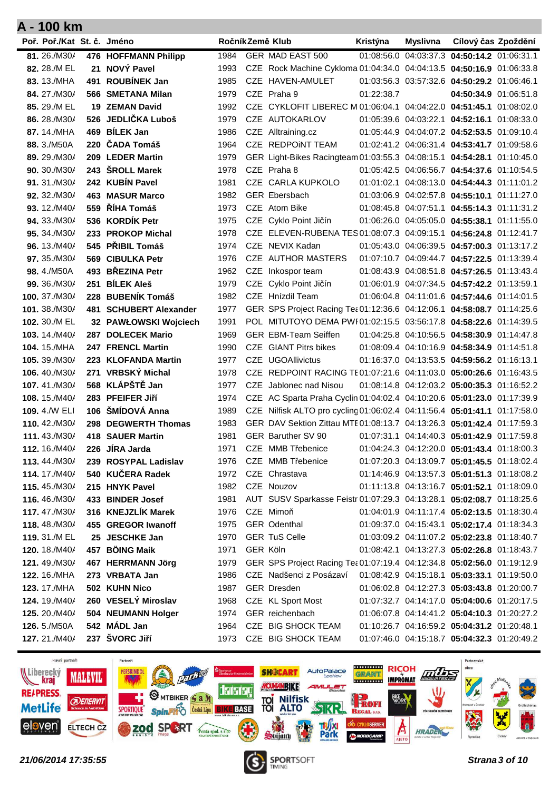| Poř. Poř./Kat St. č. Jméno |     |                        |      |          | RočníkZemě Klub                                                          | Kristýna   | <b>Myslivna</b> | Cílový čas Zpoždění                         |  |
|----------------------------|-----|------------------------|------|----------|--------------------------------------------------------------------------|------------|-----------------|---------------------------------------------|--|
| 81.26./M30/                |     | 476 HOFFMANN Philipp   | 1984 |          | GER MAD EAST 500                                                         |            |                 | 01:08:56.0 04:03:37.3 04:50:14.2 01:06:31.1 |  |
| 82, 28./M EL               | 21  | NOVÝ Pavel             | 1993 |          | CZE Rock Machine Cykloma 01:04:34.0 04:04:13.5 04:50:16.9 01:06:33.8     |            |                 |                                             |  |
| 83, 13./MHA                | 491 | <b>ROUBÍNEK Jan</b>    | 1985 |          | CZE HAVEN-AMULET                                                         |            |                 | 01:03:56.3 03:57:32.6 04:50:29.2 01:06:46.1 |  |
| 84.27./M30/                |     | 566 SMETANA Milan      | 1979 |          | CZE Praha 9                                                              | 01:22:38.7 |                 | 04:50:34.9 01:06:51.8                       |  |
| 85. 29./M EL               |     | <b>19 ZEMAN David</b>  | 1992 |          | CZE CYKLOFIT LIBEREC M 01:06:04.1 04:04:22.0 04:51:45.1 01:08:02.0       |            |                 |                                             |  |
| 86.28./M30/                |     | 526 JEDLIČKA Luboš     | 1979 |          | CZE AUTOKARLOV                                                           |            |                 | 01:05:39.6 04:03:22.1 04:52:16.1 01:08:33.0 |  |
| 87, 14./MHA                |     | 469 BÍLEK Jan          | 1986 |          | CZE Alltraining.cz                                                       |            |                 | 01:05:44.9 04:04:07.2 04:52:53.5 01:09:10.4 |  |
| 88. 3./M50A                |     | 220 ČADA Tomáš         | 1964 |          | CZE REDPOINT TEAM                                                        |            |                 | 01:02:41.2 04:06:31.4 04:53:41.7 01:09:58.6 |  |
| 89, 29./M30/               |     | 209 LEDER Martin       | 1979 |          | GER Light-Bikes Racingteam 01:03:55.3 04:08:15.1 04:54:28.1 01:10:45.0   |            |                 |                                             |  |
| 90, 30./M30/               |     | 243 SROLL Marek        | 1978 |          | CZE Praha 8                                                              |            |                 | 01:05:42.5 04:06:56.7 04:54:37.6 01:10:54.5 |  |
| 91.31./M30/                |     | 242 KUBÍN Pavel        | 1981 |          | CZE CARLA KUPKOLO                                                        |            |                 | 01:01:02.1 04:08:13.0 04:54:44.3 01:11:01.2 |  |
| 92, 32./M30/               |     | <b>463 MASUR Marco</b> | 1982 |          | <b>GER Ebersbach</b>                                                     |            |                 | 01:03:06.9 04:02:57.8 04:55:10.1 01:11:27.0 |  |
| 93. 12./M40/               |     | 559 ŘÍHA Tomáš         | 1973 |          | CZE Atom Bike                                                            |            |                 | 01:08:45.8 04:07:51.1 04:55:14.3 01:11:31.2 |  |
| 94. 33./M30/               |     | 536 KORDÍK Petr        | 1975 |          | CZE Cyklo Point Jičín                                                    |            |                 | 01:06:26.0 04:05:05.0 04:55:38.1 01:11:55.0 |  |
| 95, 34./M30/               |     | 233 PROKOP Michal      | 1978 |          | CZE ELEVEN-RUBENA TES 01:08:07.3 04:09:15.1 04:56:24.8 01:12:41.7        |            |                 |                                             |  |
| 96, 13./M40/               |     | 545 PŘIBIL Tomáš       | 1974 |          | CZE NEVIX Kadan                                                          |            |                 | 01:05:43.0 04:06:39.5 04:57:00.3 01:13:17.2 |  |
| 97. 35./M30/               |     | 569 CIBULKA Petr       | 1976 |          | CZE AUTHOR MASTERS                                                       |            |                 | 01:07:10.7 04:09:44.7 04:57:22.5 01:13:39.4 |  |
| 98, 4./M50A                | 493 | <b>BŘEZINA Petr</b>    | 1962 |          | CZE Inkospor team                                                        |            |                 | 01:08:43.9 04:08:51.8 04:57:26.5 01:13:43.4 |  |
| 99. 36./M30/               | 251 | <b>BÍLEK Aleš</b>      | 1979 |          | CZE Cyklo Point Jičín                                                    |            |                 | 01:06:01.9 04:07:34.5 04:57:42.2 01:13:59.1 |  |
| 100. 37./M30/              |     | 228 BUBENÍK Tomáš      | 1982 |          | CZE Hnízdil Team                                                         |            |                 | 01:06:04.8 04:11:01.6 04:57:44.6 01:14:01.5 |  |
| 101.38./M30/               |     | 481 SCHUBERT Alexander | 1977 |          | GER SPS Project Racing Tea 01:12:36.6 04:12:06.1 04:58:08.7 01:14:25.6   |            |                 |                                             |  |
| 102, 30./M EL              |     | 32 PAWŁOWSKI Wojciech  | 1991 |          | POL MITUTOYO DEMA PWI01:02:15.5 03:56:17.8 04:58:22.6 01:14:39.5         |            |                 |                                             |  |
| 103. 14./M40/              |     | 287 DOLECEK Mario      | 1969 |          | <b>GER EBM-Team Seiffen</b>                                              |            |                 | 01:04:25.8 04:10:56.5 04:58:30.9 01:14:47.8 |  |
| 104. 15./MHA               |     | 247 FRENCL Martin      | 1990 |          | <b>CZE</b> GIANT Pitrs bikes                                             |            |                 | 01:08:09.4 04:10:16.9 04:58:34.9 01:14:51.8 |  |
| 105, 39./M30/              |     | 223 KLOFANDA Martin    | 1977 |          | <b>CZE UGOAllivictus</b>                                                 |            |                 | 01:16:37.0 04:13:53.5 04:59:56.2 01:16:13.1 |  |
| 106, 40./M30/              |     | 271 VRBSKÝ Michal      | 1978 |          | CZE REDPOINT RACING TE01:07:21.6 04:11:03.0 05:00:26.6 01:16:43.5        |            |                 |                                             |  |
| 107, 41./M30/              |     | 568 KLÁPŠTĚ Jan        | 1977 |          | CZE Jablonec nad Nisou                                                   |            |                 | 01:08:14.8 04:12:03.2 05:00:35.3 01:16:52.2 |  |
| 108. 15./M40/              |     | 283 PFEIFER JIří       | 1974 |          | CZE AC Sparta Praha Cyclin 01:04:02.4 04:10:20.6 05:01:23.0 01:17:39.9   |            |                 |                                             |  |
| 109, 4./W ELI              |     | 106 ŠMÍDOVÁ Anna       | 1989 |          | CZE Nilfisk ALTO pro cycling 01:06:02.4 04:11:56.4 05:01:41.1 01:17:58.0 |            |                 |                                             |  |
| 110, 42./M30/              |     | 298 DEGWERTH Thomas    | 1983 |          | GER DAV Sektion Zittau MTE 01:08:13.7 04:13:26.3 05:01:42.4 01:17:59.3   |            |                 |                                             |  |
| 111, 43./M30/              |     | 418 SAUER Martin       | 1981 |          | GER Baruther SV 90                                                       |            |                 | 01:07:31.1 04:14:40.3 05:01:42.9 01:17:59.8 |  |
| 112, 16./M40/              |     | 226 JIRA Jarda         | 1971 |          | CZE MMB Třebenice                                                        |            |                 | 01:04:24.3 04:12:20.0 05:01:43.4 01:18:00.3 |  |
| 113.44./M30/               |     | 239 ROSYPAL Ladislav   | 1976 |          | CZE MMB Třebenice                                                        |            |                 | 01:07:20.3 04:13:09.7 05:01:45.5 01:18:02.4 |  |
| 114.17./M40/               |     | 540 KUČERA Radek       | 1972 |          | CZE Chrastava                                                            |            |                 | 01:14:46.9 04:13:57.3 05:01:51.3 01:18:08.2 |  |
| 115.45./M30/               |     | 215 HNYK Pavel         | 1982 |          | CZE Nouzov                                                               |            |                 | 01:11:13.8 04:13:16.7 05:01:52.1 01:18:09.0 |  |
| 116.46./M30/               |     | 433 BINDER Josef       | 1981 |          | AUT SUSV Sparkasse Feistr 01:07:29.3 04:13:28.1 05:02:08.7 01:18:25.6    |            |                 |                                             |  |
| 117.47./M30/               |     | 316 KNEJZLÍK Marek     | 1976 |          | CZE Mimoň                                                                |            |                 | 01:04:01.9 04:11:17.4 05:02:13.5 01:18:30.4 |  |
| 118.48./M30/               |     | 455 GREGOR Iwanoff     | 1975 |          | GER Odenthal                                                             |            |                 | 01:09:37.0 04:15:43.1 05:02:17.4 01:18:34.3 |  |
| 119. 31./M EL              |     | 25 JESCHKE Jan         | 1970 |          | <b>GER TuS Celle</b>                                                     |            |                 | 01:03:09.2 04:11:07.2 05:02:23.8 01:18:40.7 |  |
| 120, 18./M40/              |     | 457 BÖING Maik         | 1971 | GER Köln |                                                                          |            |                 | 01:08:42.1 04:13:27.3 05:02:26.8 01:18:43.7 |  |
| 121, 49./M30/              |     | 467 HERRMANN Jörg      | 1979 |          | GER SPS Project Racing Tea 01:07:19.4 04:12:34.8 05:02:56.0 01:19:12.9   |            |                 |                                             |  |
| 122, 16./MHA               |     | 273 VRBATA Jan         | 1986 |          | CZE Nadšenci z Posázaví                                                  |            |                 | 01:08:42.9 04:15:18.1 05:03:33.1 01:19:50.0 |  |
| <b>123.</b> 17./MHA        |     | 502 KUHN Nico          | 1987 |          | <b>GER Dresden</b>                                                       |            |                 | 01:06:02.8 04:12:27.3 05:03:43.8 01:20:00.7 |  |
| 124. 19./M40/              |     | 260 VESELÝ Miroslav    | 1968 |          | CZE KL Sport Most                                                        |            |                 | 01:07:32.7 04:14:17.0 05:04:00.6 01:20:17.5 |  |
| <b>125.</b> 20./M40/       |     | 504 NEUMANN Holger     | 1974 |          | GER reichenbach                                                          |            |                 | 01:06:07.8 04:14:41.2 05:04:10.3 01:20:27.2 |  |
| 126. 5./M50A               |     | 542 MÁDL Jan           | 1964 |          | CZE BIG SHOCK TEAM                                                       |            |                 | 01:10:26.7 04:16:59.2 05:04:31.2 01:20:48.1 |  |
| 127.21./M40/               |     | 237 ŠVORC Jiří         | 1973 |          | CZE BIG SHOCK TEAM                                                       |            |                 | 01:07:46.0 04:15:18.7 05:04:32.3 01:20:49.2 |  |



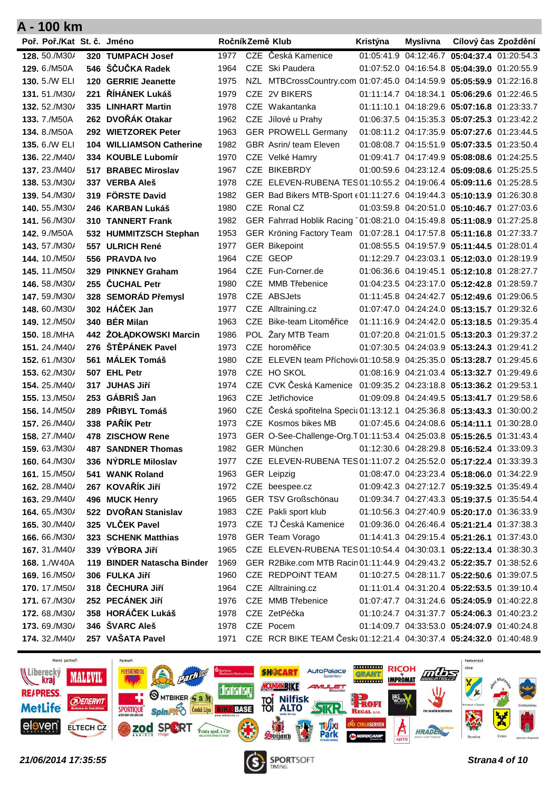| Poř. Poř./Kat St. č. Jméno   |                                                  |              | RočníkZemě Klub                                                                  | Kristýna | Myslivna | Cílový čas Zpoždění                         |  |
|------------------------------|--------------------------------------------------|--------------|----------------------------------------------------------------------------------|----------|----------|---------------------------------------------|--|
| 128. 50./M30/                | 320 TUMPACH Josef                                | 1977         | CZE Česká Kamenice                                                               |          |          | 01:05:41.9 04:12:46.7 05:04:37.4 01:20:54.3 |  |
| 129. 6./M50A                 | 546 ŠČUČKA Radek                                 | 1964         | CZE Ski Paudera                                                                  |          |          | 01:07:52.0 04:16:54.8 05:04:39.0 01:20:55.9 |  |
| 130, 5./W ELI                | 120 GERRIE Jeanette                              | 1975         | NZL MTBCrossCountry.com 01:07:45.0 04:14:59.9 05:05:59.9 01:22:16.8              |          |          |                                             |  |
| 131.51./M30/                 | 221 ŘÍHÁNEK Lukáš                                | 1979         | CZE 2V BIKERS                                                                    |          |          | 01:11:14.7 04:18:34.1 05:06:29.6 01:22:46.5 |  |
| 132, 52./M30/                | 335 LINHART Martin                               | 1978         | CZE Wakantanka                                                                   |          |          | 01:11:10.1 04:18:29.6 05:07:16.8 01:23:33.7 |  |
| 133.7./M50A                  | 262 DVOŘÁK Otakar                                | 1962         | CZE Jílové u Prahy                                                               |          |          | 01:06:37.5 04:15:35.3 05:07:25.3 01:23:42.2 |  |
| 134, 8./M50A                 | 292 WIETZOREK Peter                              | 1963         | <b>GER PROWELL Germany</b>                                                       |          |          | 01:08:11.2 04:17:35.9 05:07:27.6 01:23:44.5 |  |
| 135, 6./W ELI                | <b>104 WILLIAMSON Catherine</b>                  | 1982         | <b>GBR</b> Asrin/ team Eleven                                                    |          |          | 01:08:08.7 04:15:51.9 05:07:33.5 01:23:50.4 |  |
| 136, 22./M40/                | 334 KOUBLE Lubomír                               | 1970         | CZE Velké Hamry                                                                  |          |          | 01:09:41.7 04:17:49.9 05:08:08.6 01:24:25.5 |  |
| 137, 23./M40/                | 517 BRABEC Miroslav                              | 1967         | CZE BIKEBRDY                                                                     |          |          | 01:00:59.6 04:23:12.4 05:09:08.6 01:25:25.5 |  |
| 138.53./M30/                 | 337 VERBA Aleš                                   | 1978         | CZE ELEVEN-RUBENA TES 01:10:55.2 04:19:06.4 05:09:11.6 01:25:28.5                |          |          |                                             |  |
| 139, 54./M30/                | 319 FÖRSTE David                                 | 1982         | GER Bad Bikers MTB-Sport $\epsilon$ 01:11:27.6 04:19:44.3 05:10:13.9 01:26:30.8  |          |          |                                             |  |
| 140. 55./M30/                | 246 KARBAN Lukáš                                 | 1980         | CZE Ronal CZ                                                                     |          |          | 01:03:59.8 04:20:51.0 05:10:46.7 01:27:03.6 |  |
| 141, 56./M30/                | <b>310 TANNERT Frank</b>                         | 1982         | GER Fahrrad Hoblik Racing 101:08:21.0 04:15:49.8 05:11:08.9 01:27:25.8           |          |          |                                             |  |
| 142. 9./M50A                 | 532 HUMMITZSCH Stephan                           | 1953         | GER Kröning Factory Team 01:07:28.1 04:17:57.8 05:11:16.8 01:27:33.7             |          |          |                                             |  |
| 143.57./M30/                 | 557 ULRICH René                                  | 1977         | <b>GER Bikepoint</b>                                                             |          |          | 01:08:55.5 04:19:57.9 05:11:44.5 01:28:01.4 |  |
| 144, 10./M50/                | 556 PRAVDA Ivo                                   | 1964         | CZE GEOP                                                                         |          |          | 01:12:29.7 04:23:03.1 05:12:03.0 01:28:19.9 |  |
| 145, 11./M50/                | 329 PINKNEY Graham                               | 1964         | CZE Fun-Corner.de                                                                |          |          | 01:06:36.6 04:19:45.1 05:12:10.8 01:28:27.7 |  |
| 146, 58./M30/                | 255 ČUCHAL Petr                                  | 1980         | CZE MMB Třebenice                                                                |          |          | 01:04:23.5 04:23:17.0 05:12:42.8 01:28:59.7 |  |
| 147, 59./M30/                | 328 SEMORÁD Přemysl                              | 1978         | CZE ABSJets                                                                      |          |          | 01:11:45.8 04:24:42.7 05:12:49.6 01:29:06.5 |  |
| 148, 60./M30/                | 302 HÁČEK Jan                                    | 1977         | CZE Alltraining.cz                                                               |          |          | 01:07:47.0 04:24:24.0 05:13:15.7 01:29:32.6 |  |
| 149, 12./M50/                | 340 BÉR Milan                                    | 1963         | CZE Bike-team Litoměřice                                                         |          |          | 01:11:16.9 04:24:42.0 05:13:18.5 01:29:35.4 |  |
| <b>150.</b> 18./MHA          | 442 ŻOŁĄDKOWSKI Marcin                           | 1986         | POL Żary MTB Team                                                                |          |          | 01:07:20.8 04:21:01.5 05:13:20.3 01:29:37.2 |  |
| 151, 24./M40/                | 276 ŠTĚPÁNEK Pavel                               | 1973         | CZE horoměřice                                                                   |          |          | 01:07:30.5 04:24:03.9 05:13:24.3 01:29:41.2 |  |
| 152, 61./M30/                | 561 MÁLEK Tomáš                                  | 1980         | CZE ELEVEN team Příchovit 01:10:58.9 04:25:35.0 05:13:28.7 01:29:45.6            |          |          |                                             |  |
| 153, 62./M30/                | 507 EHL Petr                                     | 1978         | CZE HO SKOL                                                                      |          |          | 01:08:16.9 04:21:03.4 05:13:32.7 01:29:49.6 |  |
| 154, 25./M40/                | 317 JUHAS JIří                                   | 1974         | CZE CVK Česká Kamenice 01:09:35.2 04:23:18.8 05:13:36.2 01:29:53.1               |          |          |                                             |  |
| 155. 13./M50/                | 253 GÁBRIŠ Jan                                   | 1963         | CZE Jetřichovice                                                                 |          |          | 01:09:09.8 04:24:49.5 05:13:41.7 01:29:58.6 |  |
| 156, 14./M50/                | 289 PŘIBYL Tomáš                                 | 1960         | CZE Česká spořitelna Specia 01:13:12.1 04:25:36.8 05:13:43.3 01:30:00.2          |          |          |                                             |  |
| 157, 26./M40/                | 338 PAŘÍK Petr                                   | 1973         | CZE Kosmos bikes MB                                                              |          |          | 01:07:45.6 04:24:08.6 05:14:11.1 01:30:28.0 |  |
| 158, 27./M40/                | 478 ZISCHOW Rene                                 | 1973<br>1982 | GER O-See-Challenge-Org.T01:11:53.4 04:25:03.8 05:15:26.5 01:31:43.4             |          |          |                                             |  |
| 159.63./M30/<br>160.64./M30/ | <b>487 SANDNER Thomas</b><br>336 NYDRLE Miloslav | 1977         | GER München<br>CZE ELEVEN-RUBENA TES 01:11:07.2 04:25:52.0 05:17:22.4 01:33:39.3 |          |          | 01:12:30.6 04:28:29.8 05:16:52.4 01:33:09.3 |  |
| 161. 15./M50/                | 541 WANK Roland                                  | 1963         | <b>GER Leipzig</b>                                                               |          |          | 01:08:47.0 04:23:23.4 05:18:06.0 01:34:22.9 |  |
| 162. 28./M40/                | 267 KOVAŘÍK Jiří                                 | 1972         | CZE beespee.cz                                                                   |          |          | 01:09:42.3 04:27:12.7 05:19:32.5 01:35:49.4 |  |
| 163. 29./M40/                | 496 MUCK Henry                                   | 1965         | GER TSV Großschönau                                                              |          |          | 01:09:34.7 04:27:43.3 05:19:37.5 01:35:54.4 |  |
| 164.65./M30/                 | 522 DVOŘAN Stanislav                             | 1983         | CZE Pakli sport klub                                                             |          |          | 01:10:56.3 04:27:40.9 05:20:17.0 01:36:33.9 |  |
| 165, 30./M40/                | 325 VLČEK Pavel                                  | 1973         | CZE TJ Česká Kamenice                                                            |          |          | 01:09:36.0 04:26:46.4 05:21:21.4 01:37:38.3 |  |
| 166.66./M30/                 | 323 SCHENK Matthias                              | 1978         | GER Team Vorago                                                                  |          |          | 01:14:41.3 04:29:15.4 05:21:26.1 01:37:43.0 |  |
| 167.31./M40/                 | 339 VÝBORA Jiří                                  | 1965         | CZE ELEVEN-RUBENA TES 01:10:54.4 04:30:03.1 05:22:13.4 01:38:30.3                |          |          |                                             |  |
| 168.1./W40A                  | 119 BINDER Natascha Binder                       | 1969         | GER R2Bike.com MTB Racin 01:11:44.9 04:29:43.2 05:22:35.7 01:38:52.6             |          |          |                                             |  |
| 169. 16./M50/                | 306 FULKA Jiří                                   | 1960         | CZE REDPOINT TEAM                                                                |          |          | 01:10:27.5 04:28:11.7 05:22:50.6 01:39:07.5 |  |
| 170. 17./M50/                | 318 ČECHURA Jiří                                 | 1964         | CZE Alltraining.cz                                                               |          |          | 01:11:01.4 04:31:20.4 05:22:53.5 01:39:10.4 |  |
| 171.67./M30/                 | 252 PECÁNEK Jiří                                 | 1976         | CZE MMB Třebenice                                                                |          |          | 01:07:47.7 04:31:24.6 05:24:05.9 01:40:22.8 |  |
| 172.68./M30/                 | 358 HORÁČEK Lukáš                                | 1978         | CZE ZetPéčka                                                                     |          |          | 01:10:24.7 04:31:37.7 05:24:06.3 01:40:23.2 |  |
| 173.69./M30/                 | 346 ŠVARC Aleš                                   | 1978         | CZE Pocem                                                                        |          |          | 01:14:09.7 04:33:53.0 05:24:07.9 01:40:24.8 |  |
| 174. 32./M40/                | 257 VAŠATA Pavel                                 | 1971         | CZE RCR BIKE TEAM Česk: 01:12:21.4 04:30:37.4 05:24:32.0 01:40:48.9              |          |          |                                             |  |



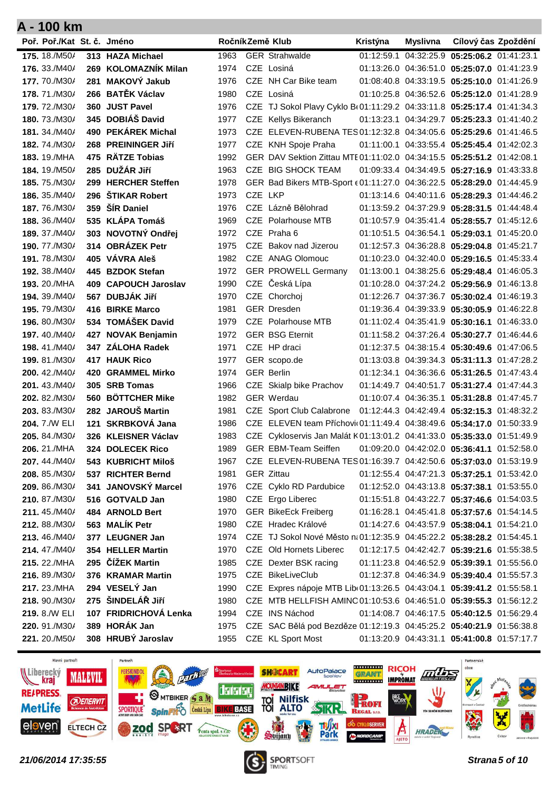| Poř. Poř./Kat St. č. Jméno     |                                        |              |         | RočníkZemě Klub                                                                 | Kristýna | <b>Myslivna</b> | Cílový čas Zpoždění                         |  |
|--------------------------------|----------------------------------------|--------------|---------|---------------------------------------------------------------------------------|----------|-----------------|---------------------------------------------|--|
| 175. 18./M50/                  | 313 HAZA Michael                       | 1963         |         | <b>GER Strahwalde</b>                                                           |          |                 | 01:12:59.1 04:32:25.9 05:25:06.2 01:41:23.1 |  |
| 176, 33./M40/                  | 269 KOLOMAZNÍK Milan                   | 1974         |         | CZE Losiná                                                                      |          |                 | 01:13:26.0 04:36:51.0 05:25:07.0 01:41:23.9 |  |
| 177.70./M30/                   | 281 MAKOVÝ Jakub                       | 1976         |         | CZE NH Car Bike team                                                            |          |                 | 01:08:40.8 04:33:19.5 05:25:10.0 01:41:26.9 |  |
| 178.71./M30/                   | 266 BATĚK Václav                       | 1980         |         | CZE Losiná                                                                      |          |                 | 01:10:25.8 04:36:52.6 05:25:12.0 01:41:28.9 |  |
| 179.72./M30/                   | 360 JUST Pavel                         | 1976         |         | CZE TJ Sokol Plavy Cyklo B(01:11:29.2 04:33:11.8 05:25:17.4 01:41:34.3          |          |                 |                                             |  |
| 180.73./M30/                   | 345 DOBIÁŠ David                       | 1977         |         | CZE Kellys Bikeranch                                                            |          |                 | 01:13:23.1 04:34:29.7 05:25:23.3 01:41:40.2 |  |
| 181, 34./M40/                  | 490 PEKÁREK Michal                     | 1973         |         | CZE ELEVEN-RUBENA TES 01:12:32.8 04:34:05.6 05:25:29.6 01:41:46.5               |          |                 |                                             |  |
| 182, 74./M30/                  | 268 PREININGER JIří                    | 1977         |         | CZE KNH Spoje Praha                                                             |          |                 | 01:11:00.1 04:33:55.4 05:25:45.4 01:42:02.3 |  |
| <b>183. 19./MHA</b>            | 475 RÄTZE Tobias                       | 1992         |         | GER DAV Sektion Zittau MTE 01:11:02.0 04:34:15.5 05:25:51.2 01:42:08.1          |          |                 |                                             |  |
| 184, 19./M50/                  | 285 DUŽÁR Jiří                         | 1963         |         | CZE BIG SHOCK TEAM                                                              |          |                 | 01:09:33.4 04:34:49.5 05:27:16.9 01:43:33.8 |  |
| 185.75./M30/                   | 299 HERCHER Steffen                    | 1978         |         | GER Bad Bikers MTB-Sport $\epsilon$ 01:11:27.0 04:36:22.5 05:28:29.0 01:44:45.9 |          |                 |                                             |  |
| 186, 35./M40/                  | 296 ŠTIKAR Robert                      | 1973         | CZE LKP |                                                                                 |          |                 | 01:13:14.6 04:40:11.6 05:28:29.3 01:44:46.2 |  |
| 187.76./M30/                   | 359 ŠÍR Daniel                         | 1976         |         | CZE Lázně Bělohrad                                                              |          |                 | 01:13:59.2 04:37:29.9 05:28:31.5 01:44:48.4 |  |
| 188. 36./M40/                  | 535 KLÁPA Tomáš                        | 1969         |         | CZE Polarhouse MTB                                                              |          |                 | 01:10:57.9 04:35:41.4 05:28:55.7 01:45:12.6 |  |
| 189. 37./M40/                  | 303 NOVOTNÝ Ondřej                     | 1972         |         | CZE Praha 6                                                                     |          |                 | 01:10:51.5 04:36:54.1 05:29:03.1 01:45:20.0 |  |
| 190.77./M30/                   | 314 OBRÁZEK Petr                       | 1975         |         | CZE Bakov nad Jizerou                                                           |          |                 | 01:12:57.3 04:36:28.8 05:29:04.8 01:45:21.7 |  |
| <b>191.78./M30/</b>            | 405 VÁVRA Aleš                         | 1982         |         | CZE ANAG Olomouc                                                                |          |                 | 01:10:23.0 04:32:40.0 05:29:16.5 01:45:33.4 |  |
| 192, 38./M40/                  | 445 BZDOK Stefan                       | 1972         |         | <b>GER PROWELL Germany</b>                                                      |          |                 | 01:13:00.1 04:38:25.6 05:29:48.4 01:46:05.3 |  |
| 193. 20./MHA                   | 409 CAPOUCH Jaroslav                   | 1990         |         | CZE Česká Lípa                                                                  |          |                 | 01:10:28.0 04:37:24.2 05:29:56.9 01:46:13.8 |  |
| 194. 39./M40/                  | 567 DUBJÁK Jiří                        | 1970         |         | CZE Chorchoj                                                                    |          |                 | 01:12:26.7 04:37:36.7 05:30:02.4 01:46:19.3 |  |
| <b>195.</b> 79./M30/           | 416 BIRKE Marco                        | 1981         |         | <b>GER Dresden</b>                                                              |          |                 | 01:19:36.4 04:39:33.9 05:30:05.9 01:46:22.8 |  |
| 196, 80./M30/                  | 534 TOMÁŠEK David                      | 1979         |         | <b>CZE</b> Polarhouse MTB                                                       |          |                 | 01:11:02.4 04:35:41.9 05:30:16.1 01:46:33.0 |  |
| 197, 40./M40/                  | 427 NOVAK Benjamin                     | 1972         |         | <b>GER BSG Eternit</b>                                                          |          |                 | 01:11:58.2 04:37:26.4 05:30:27.7 01:46:44.6 |  |
| 198, 41./M40/                  | 347 ZÁLOHA Radek                       | 1971         |         | CZE HP draci                                                                    |          |                 | 01:12:37.5 04:38:15.4 05:30:49.6 01:47:06.5 |  |
| 199, 81./M30/                  | <b>417 HAUK Rico</b>                   | 1977         |         | GER scopo.de                                                                    |          |                 | 01:13:03.8 04:39:34.3 05:31:11.3 01:47:28.2 |  |
| 200, 42./M40/                  | <b>420 GRAMMEL Mirko</b>               | 1974         |         | <b>GER Berlin</b>                                                               |          |                 | 01:12:34.1 04:36:36.6 05:31:26.5 01:47:43.4 |  |
| 201, 43./M40/                  | 305 SRB Tomas                          | 1966         |         | CZE Skialp bike Prachov<br><b>GER Werdau</b>                                    |          |                 | 01:14:49.7 04:40:51.7 05:31:27.4 01:47:44.3 |  |
| 202, 82./M30/<br>203, 83./M30/ | 560 BÖTTCHER Mike<br>282 JAROUŠ Martin | 1982<br>1981 |         | CZE Sport Club Calabrone                                                        |          |                 | 01:10:07.4 04:36:35.1 05:31:28.8 01:47:45.7 |  |
| 204, 7./W ELI                  | 121 SKRBKOVÁ Jana                      | 1986         |         | CZE ELEVEN team Příchovit 01:11:49.4 04:38:49.6 05:34:17.0 01:50:33.9           |          |                 | 01:12:44.3 04:42:49.4 05:32:15.3 01:48:32.2 |  |
| 205. 84./M30/                  | 326 KLEISNER Václav                    | 1983         |         | CZE Cykloservis Jan Malát K01:13:01.2 04:41:33.0 05:35:33.0 01:51:49.9          |          |                 |                                             |  |
| 206. 21./MHA                   | 324 DOLECEK Rico                       | 1989         |         | <b>GER EBM-Team Seiffen</b>                                                     |          |                 | 01:09:20.0 04:42:02.0 05:36:41.1 01:52:58.0 |  |
| 207.44./M40/                   | 543 KUBRICHT Miloš                     | 1967         |         | CZE ELEVEN-RUBENA TES 01:16:39.7 04:42:50.6 05:37:03.0 01:53:19.9               |          |                 |                                             |  |
| 208. 85./M30/                  | 537 RICHTER Bernd                      | 1981         |         | <b>GER Zittau</b>                                                               |          |                 | 01:12:55.4 04:47:21.3 05:37:25.1 01:53:42.0 |  |
| 209. 86./M30/                  | 341 JANOVSKÝ Marcel                    | 1976         |         | CZE Cyklo RD Pardubice                                                          |          |                 | 01:12:52.0 04:43:13.8 05:37:38.1 01:53:55.0 |  |
| 210.87./M30/                   | 516 GOTVALD Jan                        | 1980         |         | CZE Ergo Liberec                                                                |          |                 | 01:15:51.8 04:43:22.7 05:37:46.6 01:54:03.5 |  |
| 211.45./M40/                   | 484 ARNOLD Bert                        | 1970         |         | <b>GER BikeEck Freiberg</b>                                                     |          |                 | 01:16:28.1 04:45:41.8 05:37:57.6 01:54:14.5 |  |
| 212.88./M30/                   | 563 MALÍK Petr                         | 1980         |         | CZE Hradec Králové                                                              |          |                 | 01:14:27.6 04:43:57.9 05:38:04.1 01:54:21.0 |  |
| 213, 46./M40/                  | 377 LEUGNER Jan                        | 1974         |         | CZE TJ Sokol Nové Město n(01:12:35.9 04:45:22.2 05:38:28.2 01:54:45.1           |          |                 |                                             |  |
| 214.47./M40/                   | 354 HELLER Martin                      | 1970         |         | CZE Old Hornets Liberec                                                         |          |                 | 01:12:17.5 04:42:42.7 05:39:21.6 01:55:38.5 |  |
| 215. 22./MHA                   | 295 ČÍŽEK Martin                       | 1985         |         | CZE Dexter BSK racing                                                           |          |                 | 01:11:23.8 04:46:52.9 05:39:39.1 01:55:56.0 |  |
| 216. 89./M30/                  | 376 KRAMAR Martin                      | 1975         |         | CZE BikeLiveClub                                                                |          |                 | 01:12:37.8 04:46:34.9 05:39:40.4 01:55:57.3 |  |
| 217. 23./MHA                   | 294 VESELÝ Jan                         | 1990         |         | CZE Expres nápoje MTB Lib(01:13:26.5 04:43:04.1 05:39:41.2 01:55:58.1           |          |                 |                                             |  |
| 218. 90./M30/                  | 275 ŠINDELÁŘ JIří                      | 1980         |         | CZE MTB HELLFISH AMINC 01:10:53.6 04:46:51.0 05:39:55.3 01:56:12.2              |          |                 |                                             |  |
| 219. 8./W ELI                  | 107 FRIDRICHOVÁ Lenka                  | 1994         |         | CZE INS Náchod                                                                  |          |                 | 01:14:08.7 04:46:17.5 05:40:12.5 01:56:29.4 |  |
| 220. 91./M30/                  | 389 HORÁK Jan                          | 1975         |         | CZE SAC Bělá pod Bezděze 01:12:19.3 04:45:25.2 05:40:21.9 01:56:38.8            |          |                 |                                             |  |
| 221. 20./M50/                  | 308 HRUBÝ Jaroslav                     | 1955         |         | CZE KL Sport Most                                                               |          |                 | 01:13:20.9 04:43:31.1 05:41:00.8 01:57:17.7 |  |
|                                |                                        |              |         |                                                                                 |          |                 |                                             |  |



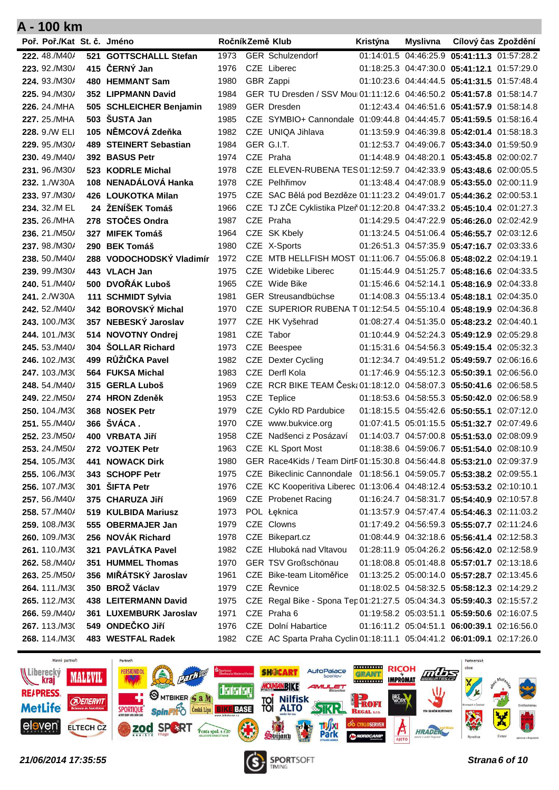| Poř. Poř./Kat St. č. Jméno     |                                   |              | RočníkZemě Klub                                                         | Kristýna | Myslivna | Cílový čas Zpoždění                                                                        |  |
|--------------------------------|-----------------------------------|--------------|-------------------------------------------------------------------------|----------|----------|--------------------------------------------------------------------------------------------|--|
| 222.48./M40/                   | 521 GOTTSCHALLL Stefan            | 1973         | <b>GER Schulzendorf</b>                                                 |          |          | 01:14:01.5 04:46:25.9 05:41:11.3 01:57:28.2                                                |  |
| 223, 92./M30/                  | 415 ČERNÝ Jan                     | 1976         | CZE Liberec                                                             |          |          | 01:18:25.3 04:47:30.0 05:41:12.1 01:57:29.0                                                |  |
| 224.93./M30/                   | 480 HEMMANT Sam                   | 1980         | GBR Zappi                                                               |          |          | 01:10:23.6 04:44:44.5 05:41:31.5 01:57:48.4                                                |  |
| 225. 94./M30/                  | 352 LIPPMANN David                | 1984         | GER TU Dresden / SSV Mou 01:11:12.6 04:46:50.2 05:41:57.8 01:58:14.7    |          |          |                                                                                            |  |
| 226, 24./MHA                   | 505 SCHLEICHER Benjamin           | 1989         | <b>GER Dresden</b>                                                      |          |          | 01:12:43.4 04:46:51.6 05:41:57.9 01:58:14.8                                                |  |
| 227. 25./MHA                   | 503 SUSTA Jan                     | 1985         | CZE SYMBIO+ Cannondale 01:09:44.8 04:44:45.7 05:41:59.5 01:58:16.4      |          |          |                                                                                            |  |
| 228. 9./W ELI                  | 105 NĚMCOVÁ Zdeňka                | 1982         | CZE UNIQA Jihlava                                                       |          |          | 01:13:59.9 04:46:39.8 05:42:01.4 01:58:18.3                                                |  |
| 229. 95./M30/                  | 489 STEINERT Sebastian            | 1984         | GER G.I.T.                                                              |          |          | 01:12:53.7 04:49:06.7 05:43:34.0 01:59:50.9                                                |  |
| 230, 49./M40/                  | 392 BASUS Petr                    | 1974         | CZE Praha                                                               |          |          | 01:14:48.9 04:48:20.1 05:43:45.8 02:00:02.7                                                |  |
| 231.96./M30/                   | 523 KODRLE Michal                 | 1978         | CZE ELEVEN-RUBENA TES 01:12:59.7 04:42:33.9 05:43:48.6 02:00:05.5       |          |          |                                                                                            |  |
| 232.1./W30A                    | 108 NENADÁLOVÁ Hanka              | 1978         | CZE Pelhřimov                                                           |          |          | 01:13:48.4 04:47:08.9 05:43:55.0 02:00:11.9                                                |  |
| 233, 97./M30/                  | 426 LOUKOTKA Milan                | 1975         | CZE SAC Bělá pod Bezděze 01:11:23.2 04:49:01.7 05:44:36.2 02:00:53.1    |          |          |                                                                                            |  |
| 234. 32./M EL                  | 24 ŽENÍŠEK Tomáš                  | 1966         | CZE TJ ZČE Cyklistika Plzeň 01:12:20.8 04:47:33.2 05:45:10.4 02:01:27.3 |          |          |                                                                                            |  |
| 235, 26./MHA                   | 278 STOČES Ondra                  | 1987         | CZE Praha                                                               |          |          | 01:14:29.5 04:47:22.9 05:46:26.0 02:02:42.9                                                |  |
| 236, 21./M50/                  | 327 MIFEK Tomáš                   | 1964         | CZE SK Kbely                                                            |          |          | 01:13:24.5 04:51:06.4 05:46:55.7 02:03:12.6                                                |  |
| 237.98./M30/                   | 290 BEK Tomáš                     | 1980         | CZE X-Sports                                                            |          |          | 01:26:51.3 04:57:35.9 05:47:16.7 02:03:33.6                                                |  |
| 238, 50./M40/                  | 288 VODOCHODSKÝ Vladimír          | 1972         | CZE MTB HELLFISH MOST 01:11:06.7 04:55:06.8 05:48:02.2 02:04:19.1       |          |          |                                                                                            |  |
| 239. 99./M30/                  | 443 VLACH Jan                     | 1975         | CZE Widebike Liberec                                                    |          |          | 01:15:44.9 04:51:25.7 05:48:16.6 02:04:33.5                                                |  |
| 240, 51./M40/                  | 500 DVOŘÁK Luboš                  | 1965         | CZE Wide Bike                                                           |          |          | 01:15:46.6 04:52:14.1 05:48:16.9 02:04:33.8                                                |  |
| 241, 2./W30A                   | 111 SCHMIDT Sylvia                | 1981         | GER Streusandbüchse                                                     |          |          | 01:14:08.3 04:55:13.4 05:48:18.1 02:04:35.0                                                |  |
| 242, 52./M40/                  | 342 BOROVSKÝ Michal               | 1970         | CZE SUPERIOR RUBENA T 01:12:54.5 04:55:10.4 05:48:19.9 02:04:36.8       |          |          |                                                                                            |  |
| 243, 100./M30                  | 357 NEBESKÝ Jaroslav              | 1977         | CZE HK Vyšehrad                                                         |          |          | 01:08:27.4 04:51:35.0 05:48:23.2 02:04:40.1                                                |  |
| 244, 101./M30                  | 514 NOVOTNY Ondrej                | 1981         | CZE Tabor                                                               |          |          | 01:10:44.9 04:52:24.3 05:49:12.9 02:05:29.8                                                |  |
| 245, 53./M40/                  | 304 SOLLAR Richard                | 1973         | CZE Beespee                                                             |          |          | 01:15:31.6 04:54:56.3 05:49:15.4 02:05:32.3                                                |  |
| 246, 102./M30                  | 499 RŮŽIČKA Pavel                 | 1982         | CZE Dexter Cycling                                                      |          |          | 01:12:34.7 04:49:51.2 05:49:59.7 02:06:16.6                                                |  |
| 247, 103./M30                  | 564 FUKSA Michal                  | 1983         | CZE Derfl Kola                                                          |          |          | 01:17:46.9 04:55:12.3 05:50:39.1 02:06:56.0                                                |  |
| 248, 54./M40/                  | 315 GERLA Luboš                   | 1969         | CZE RCR BIKE TEAM Česk: 01:18:12.0 04:58:07.3 05:50:41.6 02:06:58.5     |          |          |                                                                                            |  |
| 249, 22./M50/                  | 274 HRON Zdeněk<br>368 NOSEK Petr | 1953         | CZE Teplice                                                             |          |          | 01:18:53.6 04:58:55.3 05:50:42.0 02:06:58.9                                                |  |
| 250, 104./M30<br>251, 55./M40/ | 366 ŠVÁCA.                        | 1979<br>1970 | CZE Cyklo RD Pardubice<br>CZE www.bukvice.org                           |          |          | 01:18:15.5 04:55:42.6 05:50:55.1 02:07:12.0<br>01:07:41.5 05:01:15.5 05:51:32.7 02:07:49.6 |  |
| 252, 23./M50/                  | 400 VRBATA Jiří                   | 1958         | CZE Nadšenci z Posázaví                                                 |          |          | 01:14:03.7 04:57:00.8 05:51:53.0 02:08:09.9                                                |  |
| 253. 24./M50/                  | 272 VOJTEK Petr                   | 1963         | CZE KL Sport Most                                                       |          |          | 01:18:38.6 04:59:06.7 05:51:54.0 02:08:10.9                                                |  |
| 254, 105./M30                  | 441 NOWACK Dirk                   | 1980         | GER Race4Kids / Team DirtF01:15:30.8 04:56:44.8 05:53:21.0 02:09:37.9   |          |          |                                                                                            |  |
| 255. 106./M30                  | 343 SCHOPF Petr                   | 1975         | CZE Bikeclinic Cannondale 01:18:56.1 04:59:05.7 05:53:38.2 02:09:55.1   |          |          |                                                                                            |  |
| <b>256.</b> 107./M30           | 301 SIFTA Petr                    | 1976         | CZE KC Kooperitiva Liberec 01:13:06.4 04:48:12.4 05:53:53.2 02:10:10.1  |          |          |                                                                                            |  |
| 257.56./M40/                   | 375 CHARUZA Jiří                  | 1969         | <b>CZE</b> Probenet Racing                                              |          |          | 01:16:24.7 04:58:31.7 05:54:40.9 02:10:57.8                                                |  |
| 258.57./M40/                   | 519 KULBIDA Mariusz               | 1973         | POL Łęknica                                                             |          |          | 01:13:57.9 04:57:47.4 05:54:46.3 02:11:03.2                                                |  |
| 259. 108./M30                  | 555 OBERMAJER Jan                 | 1979         | CZE Clowns                                                              |          |          | 01:17:49.2 04:56:59.3 05:55:07.7 02:11:24.6                                                |  |
| 260. 109./M30                  | 256 NOVÁK Richard                 | 1978         | CZE Bikepart.cz                                                         |          |          | 01:08:44.9 04:32:18.6 05:56:41.4 02:12:58.3                                                |  |
| 261.110./M30                   | 321 PAVLÁTKA Pavel                | 1982         | CZE Hluboká nad Vltavou                                                 |          |          | 01:28:11.9 05:04:26.2 05:56:42.0 02:12:58.9                                                |  |
| 262. 58./M40/                  | 351 HUMMEL Thomas                 | 1970         | GER TSV Großschönau                                                     |          |          | 01:18:08.8 05:01:48.8 05:57:01.7 02:13:18.6                                                |  |
| 263. 25./M50/                  | 356 MIŘÁTSKÝ Jaroslav             | 1961         | CZE Bike-team Litoměřice                                                |          |          | 01:13:25.2 05:00:14.0 05:57:28.7 02:13:45.6                                                |  |
| 264.111./M30                   | 350 BROŽ Václav                   | 1979         | CZE Řevnice                                                             |          |          | 01:18:02.5 04:58:32.5 05:58:12.3 02:14:29.2                                                |  |
| 265. 112./M30                  | 438 LEITERMANN David              | 1975         | CZE Regal Bike - Spona Tep 01:21:27.5 05:04:34.3 05:59:40.3 02:15:57.2  |          |          |                                                                                            |  |
| 266. 59./M40/                  | 361 LUXEMBURK Jaroslav            | 1971         | CZE Praha 6                                                             |          |          | 01:19:58.2 05:03:51.1 05:59:50.6 02:16:07.5                                                |  |
| 267.113./M30                   | 549 ONDEČKO Jiří                  | 1976         | CZE Dolní Habartice                                                     |          |          | 01:16:11.2 05:04:51.1 06:00:39.1 02:16:56.0                                                |  |
| 268.114./M30                   | 483 WESTFAL Radek                 | 1982         | CZE AC Sparta Praha Cyclin 01:18:11.1 05:04:41.2 06:01:09.1 02:17:26.0  |          |          |                                                                                            |  |



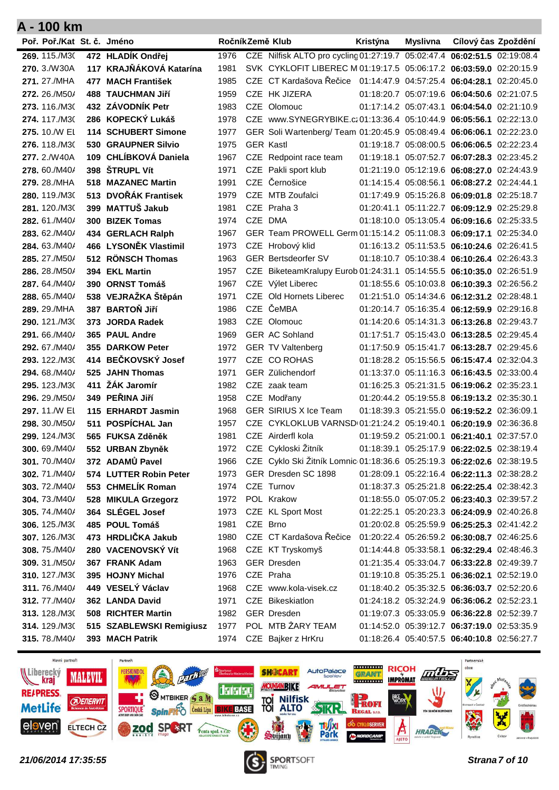| A - 100 km                 |                           |      |                                                                          |          |          |                                             |  |
|----------------------------|---------------------------|------|--------------------------------------------------------------------------|----------|----------|---------------------------------------------|--|
| Poř. Poř./Kat St. č. Jméno |                           |      | RočníkZemě Klub                                                          | Kristýna | Myslivna | Cílový čas Zpoždění                         |  |
| 269. 115./M30              | 472 HLADÍK Ondřej         | 1976 | CZE Nilfisk ALTO pro cycling 01:27:19.7 05:02:47.4 06:02:51.5 02:19:08.4 |          |          |                                             |  |
| 270, 3./W30A               | 117 KRAJŇÁKOVÁ Katarína   | 1981 | SVK CYKLOFIT LIBEREC M 01:19:17.5 05:06:17.2 06:03:59.0 02:20:15.9       |          |          |                                             |  |
| 271, 27./MHA               | 477 MACH František        | 1985 | CZE CT Kardašova Řečice 01:14:47.9 04:57:25.4 06:04:28.1 02:20:45.0      |          |          |                                             |  |
| 272, 26./M50/              | <b>488 TAUCHMAN JIří</b>  | 1959 | CZE HK JIZERA                                                            |          |          | 01:18:20.7 05:07:19.6 06:04:50.6 02:21:07.5 |  |
| 273, 116./M30              | 432 ZÁVODNÍK Petr         | 1983 | CZE Olomouc                                                              |          |          | 01:17:14.2 05:07:43.1 06:04:54.0 02:21:10.9 |  |
| 274. 117./M30              | 286 KOPECKÝ Lukáš         | 1978 | CZE www.SYNEGRYBIKE.cz01:13:36.4 05:10:44.9 06:05:56.1 02:22:13.0        |          |          |                                             |  |
| 275, 10./W EI              | 114 SCHUBERT Simone       | 1977 | GER Soli Wartenberg/ Team 01:20:45.9 05:08:49.4 06:06:06.1 02:22:23.0    |          |          |                                             |  |
| 276, 118./M30              | 530 GRAUPNER Silvio       | 1975 | <b>GER Kastl</b>                                                         |          |          | 01:19:18.7 05:08:00.5 06:06:06.5 02:22:23.4 |  |
| 277.2./W40A                | 109 CHLÍBKOVÁ Daniela     | 1967 | CZE Redpoint race team                                                   |          |          | 01:19:18.1 05:07:52.7 06:07:28.3 02:23:45.2 |  |
| 278, 60./M40/              | 398 STRUPL Vít            | 1971 | CZE Pakli sport klub                                                     |          |          | 01:21:19.0 05:12:19.6 06:08:27.0 02:24:43.9 |  |
| 279. 28./MHA               | <b>518 MAZANEC Martin</b> | 1991 | CZE Černošice                                                            |          |          | 01:14:15.4 05:08:56.1 06:08:27.2 02:24:44.1 |  |
| 280, 119./M30              | 513 DVOŘÁK Frantisek      | 1979 | CZE MTB Zoufalci                                                         |          |          | 01:17:49.9 05:15:26.8 06:09:01.8 02:25:18.7 |  |
| 281.120./M30               | 399 MATTUŠ Jakub          | 1981 | CZE Praha 3                                                              |          |          | 01:20:41.1 05:11:22.7 06:09:12.9 02:25:29.8 |  |
| 282, 61./M40/              | 300 BIZEK Tomas           | 1974 | CZE DMA                                                                  |          |          | 01:18:10.0 05:13:05.4 06:09:16.6 02:25:33.5 |  |
| 283, 62./M40/              | 434 GERLACH Ralph         | 1967 | GER Team PROWELL Germ 01:15:14.2 05:11:08.3 06:09:17.1 02:25:34.0        |          |          |                                             |  |
| 284, 63./M40/              | 466 LYSONĚK Vlastimil     | 1973 | CZE Hrobový klid                                                         |          |          | 01:16:13.2 05:11:53.5 06:10:24.6 02:26:41.5 |  |
| 285, 27./M50/              | 512 RÖNSCH Thomas         | 1963 | <b>GER Bertsdeorfer SV</b>                                               |          |          | 01:18:10.7 05:10:38.4 06:10:26.4 02:26:43.3 |  |
| 286. 28./M50/              | 394 EKL Martin            | 1957 | CZE BiketeamKralupy Eurob 01:24:31.1 05:14:55.5 06:10:35.0 02:26:51.9    |          |          |                                             |  |
| 287, 64./M40/              | 390 ORNST Tomáš           | 1967 | CZE Výlet Liberec                                                        |          |          | 01:18:55.6 05:10:03.8 06:10:39.3 02:26:56.2 |  |
| 288, 65./M40/              | 538 VEJRAŽKA Štěpán       | 1971 | CZE Old Hornets Liberec                                                  |          |          | 01:21:51.0 05:14:34.6 06:12:31.2 02:28:48.1 |  |
| 289, 29./MHA               | 387 BARTOŇ Jiří           | 1986 | CZE ČeMBA                                                                |          |          | 01:20:14.7 05:16:35.4 06:12:59.9 02:29:16.8 |  |
| 290, 121./M30              | 373 JORDA Radek           | 1983 | CZE Olomouc                                                              |          |          | 01:14:20.6 05:14:31.3 06:13:26.8 02:29:43.7 |  |
| 291, 66./M40/              | 365 PAUL Andre            | 1969 | <b>GER AC Sohland</b>                                                    |          |          | 01:17:51.7 05:15:43.0 06:13:28.5 02:29:45.4 |  |
| 292, 67./M40/              | 355 DARKOW Peter          | 1972 | <b>GER TV Valtenberg</b>                                                 |          |          | 01:17:50.9 05:15:41.7 06:13:28.7 02:29:45.6 |  |
| 293, 122./M30              | 414 BEČKOVSKÝ Josef       | 1977 | CZE CO ROHAS                                                             |          |          | 01:18:28.2 05:15:56.5 06:15:47.4 02:32:04.3 |  |
| 294, 68./M40/              | 525 JAHN Thomas           | 1971 | GER Zülichendorf                                                         |          |          | 01:13:37.0 05:11:16.3 06:16:43.5 02:33:00.4 |  |
| 295, 123./M30              | 411 ŽÁK Jaromír           | 1982 | CZE zaak team                                                            |          |          | 01:16:25.3 05:21:31.5 06:19:06.2 02:35:23.1 |  |
| 296, 29./M50/              | 349 PEŘINA Jiří           | 1958 | CZE Modřany                                                              |          |          | 01:20:44.2 05:19:55.8 06:19:13.2 02:35:30.1 |  |
| 297, 11./W EI              | 115 ERHARDT Jasmin        | 1968 | <b>GER SIRIUS X Ice Team</b>                                             |          |          | 01:18:39.3 05:21:55.0 06:19:52.2 02:36:09.1 |  |
| 298. 30./M50/              | 511 POSPÍCHAL Jan         | 1957 | CZE CYKLOKLUB VARNSD 01:21:24.2 05:19:40.1 06:20:19.9 02:36:36.8         |          |          |                                             |  |
| 299. 124./M30              | 565 FUKSA Zděněk          | 1981 | CZE Airderfl kola                                                        |          |          | 01:19:59.2 05:21:00.1 06:21:40.1 02:37:57.0 |  |
| 300. 69./M40/              | 552 URBAN Zbyněk          | 1972 | CZE Cykloski Žitník                                                      |          |          | 01:18:39.1 05:25:17.9 06:22:02.5 02:38:19.4 |  |
| 301.70./M40/               | 372 ADAMŮ Pavel           | 1966 | CZE Cyklo Ski Žitník Lomnic 01:18:36.6 05:25:19.3 06:22:02.6 02:38:19.5  |          |          |                                             |  |
| 302.71./M40/               | 574 LUTTER Robin Peter    | 1973 | GER Dresden SC 1898                                                      |          |          | 01:28:09.1 05:22:16.4 06:22:11.3 02:38:28.2 |  |
| 303.72./M40/               | 553 CHMELÍK Roman         | 1974 | CZE Turnov                                                               |          |          | 01:18:37.3 05:25:21.8 06:22:25.4 02:38:42.3 |  |
| 304.73./M40/               | 528 MIKULA Grzegorz       | 1972 | POL Krakow                                                               |          |          | 01:18:55.0 05:07:05.2 06:23:40.3 02:39:57.2 |  |
| 305.74./M40/               | 364 SLÉGEL Josef          | 1973 | CZE KL Sport Most                                                        |          |          | 01:22:25.1 05:20:23.3 06:24:09.9 02:40:26.8 |  |
| 306. 125./M30              | 485 POUL Tomáš            | 1981 | CZE Brno                                                                 |          |          | 01:20:02.8 05:25:59.9 06:25:25.3 02:41:42.2 |  |
| 307.126./M30               | 473 HRDLIČKA Jakub        | 1980 | CZE CT Kardašova Řečice                                                  |          |          | 01:20:22.4 05:26:59.2 06:30:08.7 02:46:25.6 |  |
| 308.75./M40/               | 280 VACENOVSKÝ Vít        | 1968 | CZE KT Tryskomyš                                                         |          |          | 01:14:44.8 05:33:58.1 06:32:29.4 02:48:46.3 |  |
| 309. 31./M50/              | 367 FRANK Adam            | 1963 | <b>GER Dresden</b>                                                       |          |          | 01:21:35.4 05:33:04.7 06:33:22.8 02:49:39.7 |  |
| 310. 127./M30              | 395 HOJNY Michal          | 1976 | CZE Praha                                                                |          |          | 01:19:10.8 05:35:25.1 06:36:02.1 02:52:19.0 |  |
| 311.76./M40/               | 449 VESELÝ Václav         | 1968 | CZE www.kola-visek.cz                                                    |          |          | 01:18:40.2 05:35:32.5 06:36:03.7 02:52:20.6 |  |
| 312.77./M40/               | 362 LANDA David           | 1971 | CZE Bikeskiatlon                                                         |          |          | 01:24:18.2 05:32:24.9 06:36:06.2 02:52:23.1 |  |
| 313. 128./M30              | 508 RICHTER Martin        | 1982 | <b>GER Dresden</b>                                                       |          |          | 01:19:07.3 05:33:05.9 06:36:22.8 02:52:39.7 |  |
| 314.129./M30               | 515 SZABLEWSKI Remigiusz  | 1977 | POL MTB ZARY TEAM                                                        |          |          | 01:14:52.0 05:39:12.7 06:37:19.0 02:53:35.9 |  |
| 315.78./M40/               | 393 MACH Patrik           | 1974 | CZE Bajker z HrKru                                                       |          |          | 01:18:26.4 05:40:57.5 06:40:10.8 02:56:27.7 |  |



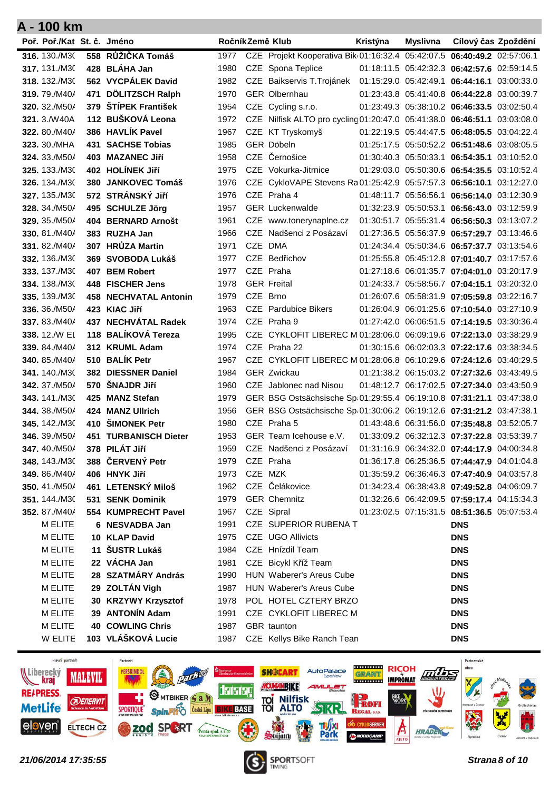| Poř. Poř./Kat St. č. Jméno   |                                    |              |          | RočníkZemě Klub                                                          | Kristýna | Myslivna Cílový čas Zpoždění                                                               |  |
|------------------------------|------------------------------------|--------------|----------|--------------------------------------------------------------------------|----------|--------------------------------------------------------------------------------------------|--|
| 316. 130./M30                | 558 RŮŽIČKA Tomáš                  | 1977         |          | CZE Projekt Kooperativa Bik 01:16:32.4 05:42:07.5 06:40:49.2 02:57:06.1  |          |                                                                                            |  |
| 317, 131./M30                | 428 BLÁHA Jan                      | 1980         |          | CZE Spona Teplice                                                        |          | 01:18:11.5 05:42:32.3 06:42:57.6 02:59:14.5                                                |  |
| 318, 132./M30                | 562 VYCPÁLEK David                 | 1982         |          | CZE Baikservis T.Trojánek 01:15:29.0 05:42:49.1 06:44:16.1 03:00:33.0    |          |                                                                                            |  |
| 319, 79./M40/                | 471 DÖLITZSCH Ralph                | 1970         |          | <b>GER Olbernhau</b>                                                     |          | 01:23:43.8 05:41:40.8 06:44:22.8 03:00:39.7                                                |  |
| 320, 32./M50/                | 379 ŠTÍPEK František               | 1954         |          | CZE Cycling s.r.o.                                                       |          | 01:23:49.3 05:38:10.2 06:46:33.5 03:02:50.4                                                |  |
| 321.3./W40A                  | 112 BUŠKOVÁ Leona                  | 1972         |          | CZE Nilfisk ALTO pro cycling 01:20:47.0 05:41:38.0 06:46:51.1 03:03:08.0 |          |                                                                                            |  |
| <b>322, 80./M40/</b>         | 386 HAVLIK Pavel                   | 1967         |          | CZE KT Tryskomyš                                                         |          | 01:22:19.5 05:44:47.5 06:48:05.5 03:04:22.4                                                |  |
| 323, 30./MHA                 | <b>431 SACHSE Tobias</b>           | 1985         |          | GER Döbeln                                                               |          | 01:25:17.5 05:50:52.2 06:51:48.6 03:08:05.5                                                |  |
| 324. 33./M50/                | 403 MAZANEC Jiří                   | 1958         |          | CZE Černošice                                                            |          | 01:30:40.3 05:50:33.1 06:54:35.1 03:10:52.0                                                |  |
| 325, 133./M30                | 402 HOLÍNEK Jiří                   | 1975         |          | CZE Vokurka-Jitrnice                                                     |          | 01:29:03.0 05:50:30.6 06:54:35.5 03:10:52.4                                                |  |
| 326. 134./M30                | 380 JANKOVEC Tomáš                 | 1976         |          | CZE CykloVAPE Stevens Ra01:25:42.9 05:57:57.3 06:56:10.1 03:12:27.0      |          |                                                                                            |  |
| 327, 135./M30                | 572 STRÁNSKÝ JIří                  | 1976         |          | CZE Praha 4                                                              |          | 01:48:11.7 05:56:56.1 06:56:14.0 03:12:30.9                                                |  |
| 328. 34./M50/                | 495 SCHULZE Jörg                   | 1957         |          | <b>GER Luckenwalde</b>                                                   |          | 01:32:23.9 05:50:53.1 06:56:43.0 03:12:59.9                                                |  |
| 329. 35./M50/                | 404 BERNARD Arnošt                 | 1961         |          | CZE www.tonerynaplne.cz                                                  |          | 01:30:51.7 05:55:31.4 06:56:50.3 03:13:07.2                                                |  |
| 330.81/M40/                  | 383 RUZHA Jan                      | 1966         |          | CZE Nadšenci z Posázaví                                                  |          | 01:27:36.5 05:56:37.9 06:57:29.7 03:13:46.6                                                |  |
| 331, 82./M40/                | 307 HRŮZA Martin                   | 1971         |          | CZE DMA                                                                  |          | 01:24:34.4 05:50:34.6 06:57:37.7 03:13:54.6                                                |  |
| 332, 136./M30                | 369 SVOBODA Lukáš                  | 1977         |          | CZE Bedřichov                                                            |          | 01:25:55.8 05:45:12.8 07:01:40.7 03:17:57.6                                                |  |
| 333, 137./M30                | 407 BEM Robert                     | 1977         |          | CZE Praha                                                                |          | 01:27:18.6 06:01:35.7 07:04:01.0 03:20:17.9                                                |  |
| 334.138./M30                 | 448 FISCHER Jens                   | 1978         |          | <b>GER Freital</b>                                                       |          | 01:24:33.7 05:58:56.7 07:04:15.1 03:20:32.0                                                |  |
| 335, 139./M30                | <b>458 NECHVATAL Antonin</b>       | 1979         | CZE Brno |                                                                          |          | 01:26:07.6 05:58:31.9 07:05:59.8 03:22:16.7                                                |  |
| 336, 36./M50/                | 423 KIAC Jiří                      | 1963         |          | CZE Pardubice Bikers                                                     |          | 01:26:04.9 06:01:25.6 07:10:54.0 03:27:10.9                                                |  |
| 337, 83./M40/                | 437 NECHVÁTAL Radek                | 1974         |          | CZE Praha 9                                                              |          | 01:27:42.0 06:06:51.5 07:14:19.5 03:30:36.4                                                |  |
| 338, 12./W EL                | 118 BALÍKOVÁ Tereza                | 1995         |          | CZE CYKLOFIT LIBEREC M 01:28:06.0 06:09:19.6 07:22:13.0 03:38:29.9       |          |                                                                                            |  |
| 339, 84./M40/                | 312 KRUML Adam                     | 1974         |          | CZE Praha 22                                                             |          | 01:30:15.6 06:02:03.3 07:22:17.6 03:38:34.5                                                |  |
| 340, 85./M40/                | 510 BALÍK Petr                     | 1967         |          | CZE CYKLOFIT LIBEREC M 01:28:06.8 06:10:29.6 07:24:12.6 03:40:29.5       |          |                                                                                            |  |
| 341, 140./M30                | 382 DIESSNER Daniel                | 1984         |          | <b>GER Zwickau</b>                                                       |          | 01:21:38.2 06:15:03.2 07:27:32.6 03:43:49.5                                                |  |
| 342, 37./M50/                | 570 ŠNAJDR Jiří                    | 1960         |          | CZE Jablonec nad Nisou                                                   |          | 01:48:12.7 06:17:02.5 07:27:34.0 03:43:50.9                                                |  |
| 343. 141./M30                | 425 MANZ Stefan                    | 1979         |          | GER BSG Ostsächsische Sp 01:29:55.4 06:19:10.8 07:31:21.1 03:47:38.0     |          |                                                                                            |  |
| 344, 38./M50/                | 424 MANZ Ullrich                   | 1956         |          | GER BSG Ostsächsische Sp 01:30:06.2 06:19:12.6 07:31:21.2 03:47:38.1     |          |                                                                                            |  |
| <b>345.</b> 142./M30         | 410 ŠIMONEK Petr                   | 1980         |          | CZE Praha 5                                                              |          | 01:43:48.6 06:31:56.0 07:35:48.8 03:52:05.7                                                |  |
| 346, 39./M50/                | 451 TURBANISCH Dieter              | 1953         |          | GER Team Icehouse e.V.                                                   |          | 01:33:09.2 06:32:12.3 07:37:22.8 03:53:39.7                                                |  |
| 347.40./M50/                 | 378 PILÁT Jiří<br>388 ČERVENÝ Petr | 1959         |          | CZE Nadšenci z Posázaví                                                  |          | 01:31:16.9 06:34:32.0 07:44:17.9 04:00:34.8                                                |  |
| 348.143./M30<br>349.86./M40/ | 406 HNYK Jiří                      | 1979<br>1973 | CZE MZK  | CZE Praha                                                                |          | 01:36:17.8 06:25:36.5 07:44:47.9 04:01:04.8<br>01:35:59.2 06:36:46.3 07:47:40.9 04:03:57.8 |  |
| 350.41./M50/                 | 461 LETENSKÝ Miloš                 | 1962         |          | CZE Čelákovice                                                           |          | 01:34:23.4 06:38:43.8 07:49:52.8 04:06:09.7                                                |  |
| 351.144./M30                 | 531 SENK Dominik                   | 1979         |          | <b>GER Chemnitz</b>                                                      |          | 01:32:26.6 06:42:09.5 07:59:17.4 04:15:34.3                                                |  |
| 352, 87./M40/                | 554 KUMPRECHT Pavel                | 1967         |          | CZE Sipral                                                               |          | 01:23:02.5 07:15:31.5 08:51:36.5 05:07:53.4                                                |  |
| M ELITE                      | 6 NESVADBA Jan                     | 1991         |          | CZE SUPERIOR RUBENA T                                                    |          | <b>DNS</b>                                                                                 |  |
| M ELITE                      | 10 KLAP David                      | 1975         |          | CZE UGO Allivicts                                                        |          | <b>DNS</b>                                                                                 |  |
| M ELITE                      | 11 ŠUSTR Lukáš                     | 1984         |          | CZE Hnízdil Team                                                         |          | <b>DNS</b>                                                                                 |  |
| M ELITE                      | 22 VÁCHA Jan                       | 1981         |          | CZE Bicykl Kříž Team                                                     |          | <b>DNS</b>                                                                                 |  |
| M ELITE                      | 28 SZATMÁRY András                 | 1990         |          | HUN Waberer's Areus Cube                                                 |          | <b>DNS</b>                                                                                 |  |
| M ELITE                      | 29 ZOLTÁN Vigh                     | 1987         |          | HUN Waberer's Areus Cube                                                 |          | <b>DNS</b>                                                                                 |  |
| M ELITE                      | 30 KRZYWY Krzysztof                | 1978         |          | POL HOTEL CZTERY BRZO                                                    |          | <b>DNS</b>                                                                                 |  |
| <b>M ELITE</b>               | 39 ANTONÍN Adam                    | 1991         |          | CZE CYKLOFIT LIBEREC M                                                   |          | <b>DNS</b>                                                                                 |  |
| M ELITE                      | <b>40 COWLING Chris</b>            | 1987         |          | GBR taunton                                                              |          | <b>DNS</b>                                                                                 |  |
| W ELITE                      | 103 VLÁŠKOVÁ Lucie                 | 1987         |          | CZE Kellys Bike Ranch Tean                                               |          | <b>DNS</b>                                                                                 |  |



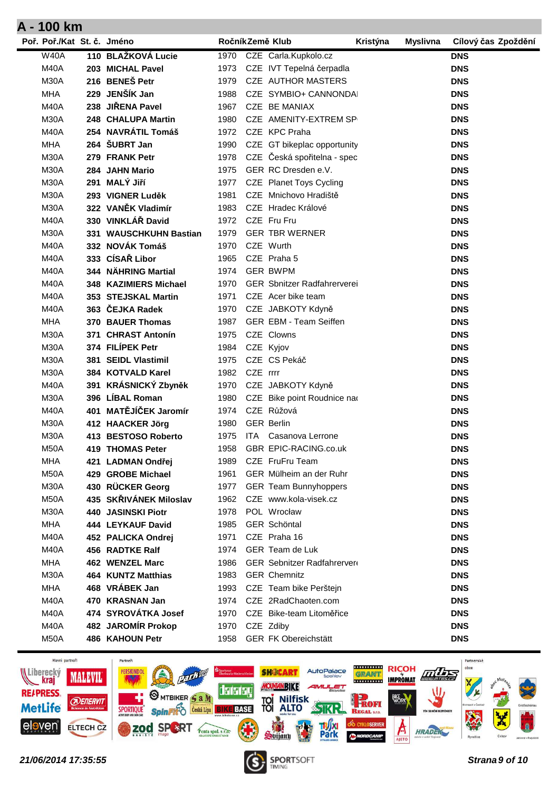| Poř. Poř./Kat St. č. Jméno |                           |      |          | RočníkZemě Klub                    | Kristýna | <b>Myslivna</b> | Cílový čas Zpoždění |
|----------------------------|---------------------------|------|----------|------------------------------------|----------|-----------------|---------------------|
| <b>W40A</b>                | 110 BLAŽKOVÁ Lucie        | 1970 |          | CZE Carla.Kupkolo.cz               |          |                 | <b>DNS</b>          |
| M40A                       | 203 MICHAL Pavel          | 1973 |          | CZE IVT Tepelná čerpadla           |          |                 | <b>DNS</b>          |
| M30A                       | 216 BENEŠ Petr            | 1979 |          | <b>CZE AUTHOR MASTERS</b>          |          |                 | <b>DNS</b>          |
| <b>MHA</b>                 | 229 JENŠÍK Jan            | 1988 |          | CZE SYMBIO+ CANNONDAI              |          |                 | <b>DNS</b>          |
| M40A                       | 238 JIŘENA Pavel          | 1967 |          | CZE BE MANIAX                      |          |                 | <b>DNS</b>          |
| M30A                       | 248 CHALUPA Martin        | 1980 |          | CZE AMENITY-EXTREM SP              |          |                 | <b>DNS</b>          |
| <b>M40A</b>                | 254 NAVRÁTIL Tomáš        |      |          | 1972 CZE KPC Praha                 |          |                 | <b>DNS</b>          |
| <b>MHA</b>                 | 264 SUBRT Jan             | 1990 |          | CZE GT bikeplac opportunity        |          |                 | <b>DNS</b>          |
| M30A                       | 279 FRANK Petr            | 1978 |          | CZE Česká spořitelna - spec        |          |                 | <b>DNS</b>          |
| M30A                       | 284 JAHN Mario            | 1975 |          | GER RC Dresden e.V.                |          |                 | <b>DNS</b>          |
| M30A                       | 291 MALÝ Jiří             | 1977 |          | CZE Planet Toys Cycling            |          |                 | <b>DNS</b>          |
| M30A                       | 293 VIGNER Luděk          | 1981 |          | CZE Mnichovo Hradiště              |          |                 | <b>DNS</b>          |
| M30A                       | 322 VANĚK Vladimír        | 1983 |          | CZE Hradec Králové                 |          |                 | <b>DNS</b>          |
| M40A                       | 330 VINKLÁŘ David         |      |          | 1972 CZE Fru Fru                   |          |                 | <b>DNS</b>          |
| M30A                       | 331 WAUSCHKUHN Bastian    | 1979 |          | <b>GER TBR WERNER</b>              |          |                 | <b>DNS</b>          |
| M40A                       | 332 NOVÁK Tomáš           | 1970 |          | CZE Wurth                          |          |                 | <b>DNS</b>          |
| M40A                       | 333 CÍSAŘ Libor           | 1965 |          | CZE Praha 5                        |          |                 | <b>DNS</b>          |
| M40A                       | 344 NÄHRING Martial       | 1974 |          | <b>GER BWPM</b>                    |          |                 | <b>DNS</b>          |
| M40A                       | 348 KAZIMIERS Michael     | 1970 |          | <b>GER Sbnitzer Radfahrerverei</b> |          |                 | <b>DNS</b>          |
| M40A                       | 353 STEJSKAL Martin       | 1971 |          | CZE Acer bike team                 |          |                 | <b>DNS</b>          |
| M40A                       | 363 ČEJKA Radek           | 1970 |          | CZE JABKOTY Kdyně                  |          |                 | <b>DNS</b>          |
| <b>MHA</b>                 | 370 BAUER Thomas          | 1987 |          | <b>GER EBM - Team Seiffen</b>      |          |                 | <b>DNS</b>          |
| M30A                       | 371 CHRAST Antonín        |      |          | 1975 CZE Clowns                    |          |                 | <b>DNS</b>          |
| M30A                       | 374 FILÍPEK Petr          | 1984 |          | CZE Kyjov                          |          |                 | <b>DNS</b>          |
| M30A                       | 381 SEIDL Vlastimil       | 1975 |          | CZE CS Pekáč                       |          |                 | <b>DNS</b>          |
| M30A                       | 384 KOTVALD Karel         | 1982 | CZE rrrr |                                    |          |                 | <b>DNS</b>          |
| M40A                       | 391 KRÁSNICKÝ Zbyněk      |      |          | 1970 CZE JABKOTY Kdyně             |          |                 | <b>DNS</b>          |
| M30A                       | 396 LÍBAL Roman           | 1980 |          | CZE Bike point Roudnice nad        |          |                 | <b>DNS</b>          |
| M40A                       | 401 MATĚJÍČEK Jaromír     | 1974 |          | CZE Růžová                         |          |                 | <b>DNS</b>          |
| M30A                       | 412 HAACKER Jörg          | 1980 |          | <b>GER Berlin</b>                  |          |                 | <b>DNS</b>          |
| M30A                       | 413 BESTOSO Roberto       | 1975 |          | ITA Casanova Lerrone               |          |                 | <b>DNS</b>          |
| <b>M50A</b>                | 419 THOMAS Peter          | 1958 |          | GBR EPIC-RACING.co.uk              |          |                 | <b>DNS</b>          |
| <b>MHA</b>                 | 421 LADMAN Ondřej         | 1989 |          | CZE FruFru Team                    |          |                 | <b>DNS</b>          |
| <b>M50A</b>                | 429 GROBE Michael         | 1961 |          | GER Mülheim an der Ruhr            |          |                 | <b>DNS</b>          |
| M30A                       | 430 RÜCKER Georg          | 1977 |          | <b>GER Team Bunnyhoppers</b>       |          |                 | <b>DNS</b>          |
| M50A                       | 435 SKŘIVÁNEK Miloslav    | 1962 |          | CZE www.kola-visek.cz              |          |                 | <b>DNS</b>          |
| M30A                       | 440 JASINSKI Piotr        | 1978 |          | POL Wrocław                        |          |                 | <b>DNS</b>          |
| <b>MHA</b>                 | 444 LEYKAUF David         | 1985 |          | GER Schöntal                       |          |                 | <b>DNS</b>          |
| M40A                       | 452 PALICKA Ondrej        | 1971 |          | CZE Praha 16                       |          |                 | <b>DNS</b>          |
| M40A                       | 456 RADTKE Ralf           | 1974 |          | GER Team de Luk                    |          |                 | <b>DNS</b>          |
| <b>MHA</b>                 | 462 WENZEL Marc           | 1986 |          | <b>GER Sebnitzer Radfahrerver</b>  |          |                 | <b>DNS</b>          |
| M30A                       | <b>464 KUNTZ Matthias</b> | 1983 |          | <b>GER Chemnitz</b>                |          |                 | <b>DNS</b>          |
| <b>MHA</b>                 | 468 VRÁBEK Jan            | 1993 |          | CZE Team bike Perštejn             |          |                 | <b>DNS</b>          |
| M40A                       | 470 KRASNAN Jan           | 1974 |          | CZE 2RadChaoten.com                |          |                 | <b>DNS</b>          |
| M40A                       | 474 SYROVÁTKA Josef       | 1970 |          | CZE Bike-team Litoměřice           |          |                 | <b>DNS</b>          |
| <b>M40A</b>                | 482 JAROMÍR Prokop        | 1970 |          | CZE Zdiby                          |          |                 | <b>DNS</b>          |
| M50A                       | 486 KAHOUN Petr           | 1958 |          | <b>GER FK Obereichstätt</b>        |          |                 | <b>DNS</b>          |